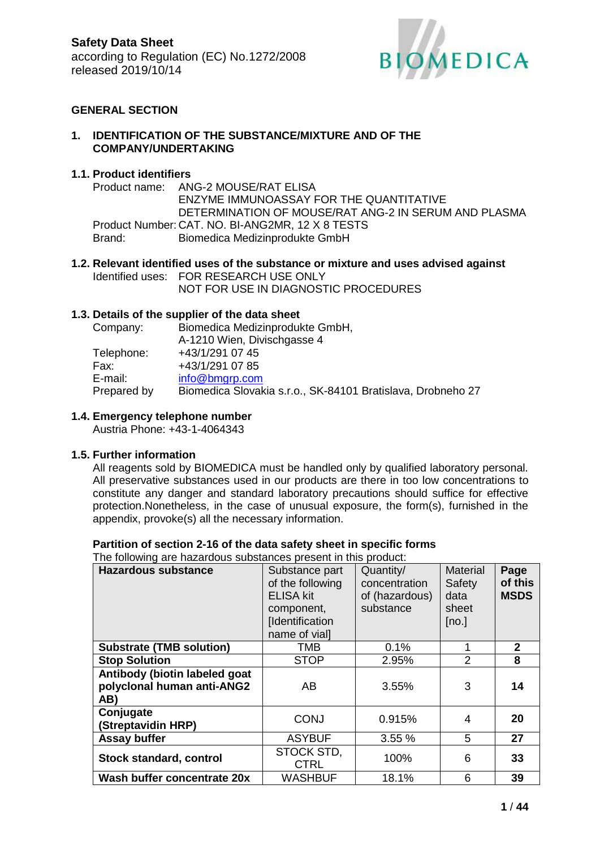

## **GENERAL SECTION**

### **1. IDENTIFICATION OF THE SUBSTANCE/MIXTURE AND OF THE COMPANY/UNDERTAKING**

### **1.1. Product identifiers**

Product name: ANG-2 MOUSE/RAT ELISA ENZYME IMMUNOASSAY FOR THE QUANTITATIVE DETERMINATION OF MOUSE/RAT ANG-2 IN SERUM AND PLASMA Product Number: CAT. NO. BI-ANG2MR, 12 X 8 TESTS Brand: Biomedica Medizinprodukte GmbH

## **1.2. Relevant identified uses of the substance or mixture and uses advised against** Identified uses: FOR RESEARCH USE ONLY

NOT FOR USE IN DIAGNOSTIC PROCEDURES

### **1.3. Details of the supplier of the data sheet**

| Company:    | Biomedica Medizinprodukte GmbH,                             |
|-------------|-------------------------------------------------------------|
|             | A-1210 Wien, Divischgasse 4                                 |
| Telephone:  | +43/1/291 07 45                                             |
| Fax:        | +43/1/291 07 85                                             |
| E-mail:     | info@bmgrp.com                                              |
| Prepared by | Biomedica Slovakia s.r.o., SK-84101 Bratislava, Drobneho 27 |

### **1.4. Emergency telephone number**

Austria Phone: +43-1-4064343

### **1.5. Further information**

All reagents sold by BIOMEDICA must be handled only by qualified laboratory personal. All preservative substances used in our products are there in too low concentrations to constitute any danger and standard laboratory precautions should suffice for effective protection.Nonetheless, in the case of unusual exposure, the form(s), furnished in the appendix, provoke(s) all the necessary information.

## **Partition of section 2-16 of the data safety sheet in specific forms**

The following are hazardous substances present in this product:

| <b>Hazardous substance</b>                                         | Substance part<br>of the following<br><b>ELISA kit</b><br>component,<br>[Identification<br>name of vial] | Quantity/<br>concentration<br>of (hazardous)<br>substance | <b>Material</b><br>Safety<br>data<br>sheet<br>[no.] | Page<br>of this<br><b>MSDS</b> |
|--------------------------------------------------------------------|----------------------------------------------------------------------------------------------------------|-----------------------------------------------------------|-----------------------------------------------------|--------------------------------|
| <b>Substrate (TMB solution)</b>                                    | <b>TMB</b>                                                                                               | 0.1%                                                      | 1                                                   | $\mathbf{2}$                   |
| <b>Stop Solution</b>                                               | <b>STOP</b>                                                                                              | 2.95%                                                     | $\overline{2}$                                      | 8                              |
| Antibody (biotin labeled goat<br>polyclonal human anti-ANG2<br>AB) | AB                                                                                                       | 3.55%                                                     | 3                                                   | 14                             |
| Conjugate<br>(Streptavidin HRP)                                    | <b>CONJ</b>                                                                                              | 0.915%                                                    | 4                                                   | 20                             |
| <b>Assay buffer</b>                                                | <b>ASYBUF</b>                                                                                            | 3.55 %                                                    | 5                                                   | 27                             |
| <b>Stock standard, control</b>                                     | STOCK STD,<br><b>CTRL</b>                                                                                | 100%                                                      | 6                                                   | 33                             |
| Wash buffer concentrate 20x                                        | <b>WASHBUF</b>                                                                                           | 18.1%                                                     | 6                                                   | 39                             |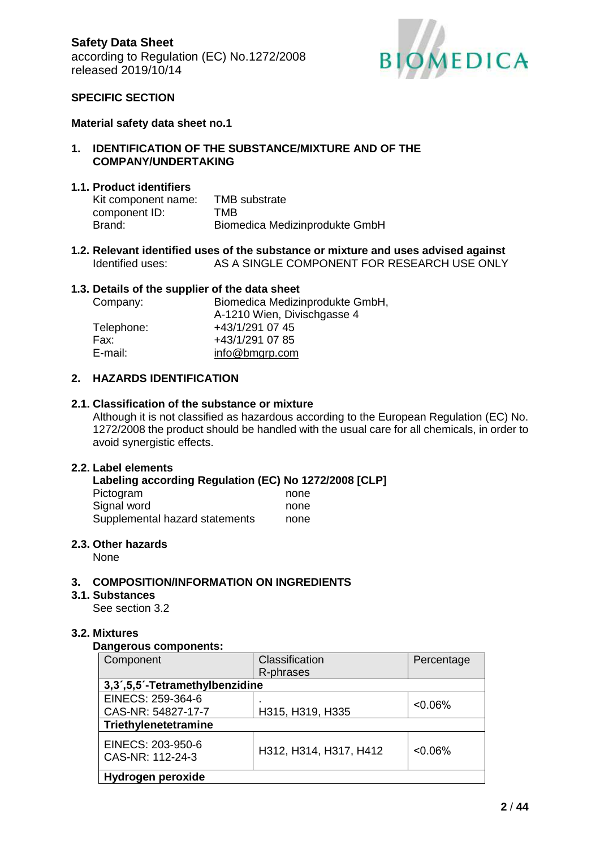

## **SPECIFIC SECTION**

#### **Material safety data sheet no.1**

#### **1. IDENTIFICATION OF THE SUBSTANCE/MIXTURE AND OF THE COMPANY/UNDERTAKING**

#### **1.1. Product identifiers**

| Kit component name: | <b>TMB</b> substrate           |
|---------------------|--------------------------------|
| component ID:       | TMB                            |
| Brand:              | Biomedica Medizinprodukte GmbH |

**1.2. Relevant identified uses of the substance or mixture and uses advised against** Identified uses: AS A SINGLE COMPONENT FOR RESEARCH USE ONLY

#### **1.3. Details of the supplier of the data sheet**

| Company:   | Biomedica Medizinprodukte GmbH, |  |
|------------|---------------------------------|--|
|            | A-1210 Wien, Divischgasse 4     |  |
| Telephone: | +43/1/291 07 45                 |  |
| Fax:       | +43/1/291 07 85                 |  |
| E-mail:    | info@bmgrp.com                  |  |

### **2. HAZARDS IDENTIFICATION**

#### **2.1. Classification of the substance or mixture**

Although it is not classified as hazardous according to the European Regulation (EC) No. 1272/2008 the product should be handled with the usual care for all chemicals, in order to avoid synergistic effects.

#### **2.2. Label elements**

| Labeling according Regulation (EC) No 1272/2008 [CLP] |      |
|-------------------------------------------------------|------|
| Pictogram                                             | none |
| Signal word                                           | none |
| Supplemental hazard statements                        | none |

#### **2.3. Other hazards**

None

#### **3. COMPOSITION/INFORMATION ON INGREDIENTS**

#### **3.1. Substances**

See section 3.2

#### **3.2. Mixtures**

#### **Dangerous components:**

| Component                             | Classification         | Percentage |  |
|---------------------------------------|------------------------|------------|--|
|                                       | R-phrases              |            |  |
| 3,3',5,5'-Tetramethylbenzidine        |                        |            |  |
| EINECS: 259-364-6                     |                        | $< 0.06\%$ |  |
| CAS-NR: 54827-17-7                    | H315, H319, H335       |            |  |
| Triethylenetetramine                  |                        |            |  |
| EINECS: 203-950-6<br>CAS-NR: 112-24-3 | H312, H314, H317, H412 | $< 0.06\%$ |  |
| Hydrogen peroxide                     |                        |            |  |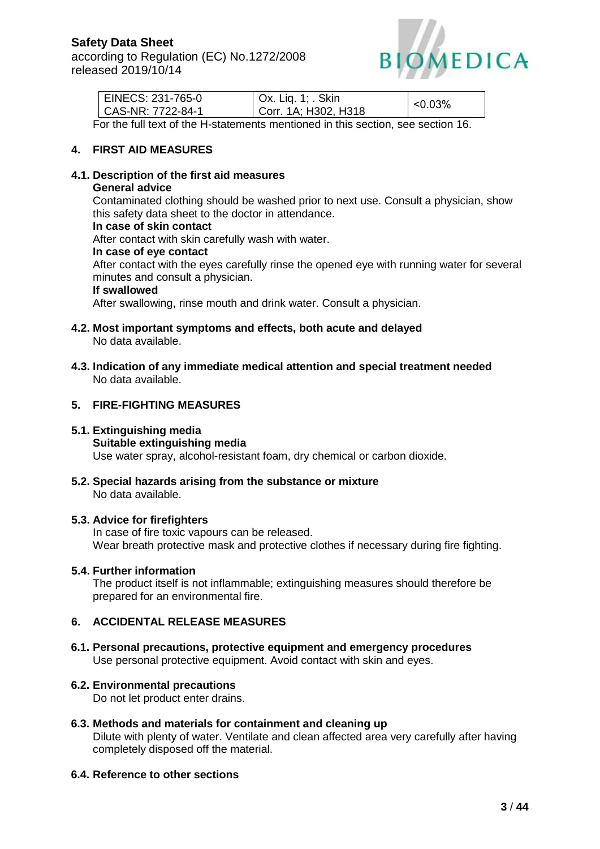

|                          | EINECS: 231-765-0<br>  CAS-NR: 7722-84-1 | $\vert$ Ox. Liq. 1; . Skin<br>Corr. 1A; H302, H318 | $<$ 0.03% |
|--------------------------|------------------------------------------|----------------------------------------------------|-----------|
| $\overline{\phantom{0}}$ |                                          |                                                    |           |

For the full text of the H-statements mentioned in this section, see section 16.

## **4. FIRST AID MEASURES**

## **4.1. Description of the first aid measures**

#### **General advice**

Contaminated clothing should be washed prior to next use. Consult a physician, show this safety data sheet to the doctor in attendance.

## **In case of skin contact**

After contact with skin carefully wash with water.

#### **In case of eye contact**

After contact with the eyes carefully rinse the opened eye with running water for several minutes and consult a physician.

#### **If swallowed**

After swallowing, rinse mouth and drink water. Consult a physician.

- **4.2. Most important symptoms and effects, both acute and delayed** No data available.
- **4.3. Indication of any immediate medical attention and special treatment needed** No data available.

## **5. FIRE-FIGHTING MEASURES**

#### **5.1. Extinguishing media**

#### **Suitable extinguishing media**

Use water spray, alcohol-resistant foam, dry chemical or carbon dioxide.

**5.2. Special hazards arising from the substance or mixture** No data available.

### **5.3. Advice for firefighters**

In case of fire toxic vapours can be released. Wear breath protective mask and protective clothes if necessary during fire fighting.

## **5.4. Further information**

The product itself is not inflammable; extinguishing measures should therefore be prepared for an environmental fire.

### **6. ACCIDENTAL RELEASE MEASURES**

**6.1. Personal precautions, protective equipment and emergency procedures** Use personal protective equipment. Avoid contact with skin and eyes.

### **6.2. Environmental precautions**

Do not let product enter drains.

**6.3. Methods and materials for containment and cleaning up** Dilute with plenty of water. Ventilate and clean affected area very carefully after having completely disposed off the material.

### **6.4. Reference to other sections**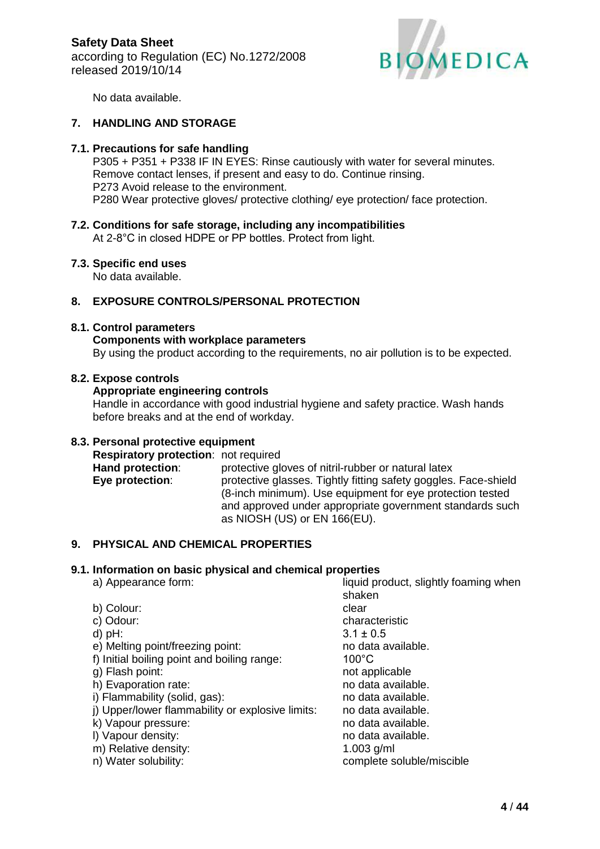

No data available.

## **7. HANDLING AND STORAGE**

#### **7.1. Precautions for safe handling**

P305 + P351 + P338 IF IN EYES: Rinse cautiously with water for several minutes. Remove contact lenses, if present and easy to do. Continue rinsing. P273 Avoid release to the environment. P280 Wear protective gloves/ protective clothing/ eye protection/ face protection.

**7.2. Conditions for safe storage, including any incompatibilities** At 2-8°C in closed HDPE or PP bottles. Protect from light.

#### **7.3. Specific end uses**

No data available.

### **8. EXPOSURE CONTROLS/PERSONAL PROTECTION**

#### **8.1. Control parameters**

#### **Components with workplace parameters**

By using the product according to the requirements, no air pollution is to be expected.

#### **8.2. Expose controls**

## **Appropriate engineering controls**

Handle in accordance with good industrial hygiene and safety practice. Wash hands before breaks and at the end of workday.

### **8.3. Personal protective equipment**

**Respiratory protection**: not required **Hand protection:** protective gloves of nitril-rubber or natural latex **Eye protection:** protective glasses. Tightly fitting safety goggles. Face-shield (8-inch minimum). Use equipment for eye protection tested and approved under appropriate government standards such as NIOSH (US) or EN 166(EU).

### **9. PHYSICAL AND CHEMICAL PROPERTIES**

### **9.1. Information on basic physical and chemical properties**

- 
- b) Colour: clear
- 
- 
- e) Melting point/freezing point: no data available.
- f) Initial boiling point and boiling range: 100°C
- 
- h) Evaporation rate: no data available.
- i) Flammability (solid, gas): no data available.
- j) Upper/lower flammability or explosive limits: no data available.
- k) Vapour pressure: no data available.
- 
- m) Relative density: 1.003 g/ml
- n) Water solubility: complete soluble/miscible

a) Appearance form:  $l$  liquid product, slightly foaming when shaken c) Odour: characteristic d) pH:  $3.1 \pm 0.5$ g) Flash point: not applicable l) Vapour density: no data available.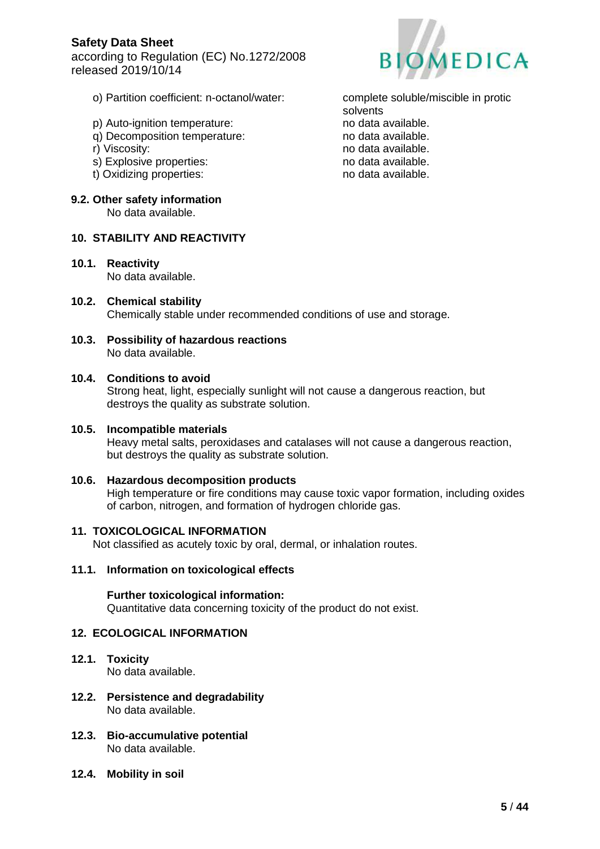according to Regulation (EC) No.1272/2008 released 2019/10/14



- o) Partition coefficient: n-octanol/water: complete soluble/miscible in protic
- p) Auto-ignition temperature: no data available.
- q) Decomposition temperature: no data available.
- 
- s) Explosive properties: no data available.
- t) Oxidizing properties: no data available.

#### **9.2. Other safety information**

No data available.

## **10. STABILITY AND REACTIVITY**

- **10.1. Reactivity** No data available.
- **10.2. Chemical stability** Chemically stable under recommended conditions of use and storage.
- **10.3. Possibility of hazardous reactions** No data available.

#### **10.4. Conditions to avoid**

Strong heat, light, especially sunlight will not cause a dangerous reaction, but destroys the quality as substrate solution.

#### **10.5. Incompatible materials**

Heavy metal salts, peroxidases and catalases will not cause a dangerous reaction, but destroys the quality as substrate solution.

**10.6. Hazardous decomposition products** High temperature or fire conditions may cause toxic vapor formation, including oxides of carbon, nitrogen, and formation of hydrogen chloride gas.

#### **11. TOXICOLOGICAL INFORMATION**

Not classified as acutely toxic by oral, dermal, or inhalation routes.

## **11.1. Information on toxicological effects**

#### **Further toxicological information:**

Quantitative data concerning toxicity of the product do not exist.

#### **12. ECOLOGICAL INFORMATION**

#### **12.1. Toxicity**

No data available.

- **12.2. Persistence and degradability** No data available.
- **12.3. Bio-accumulative potential** No data available.
- **12.4. Mobility in soil**

solvents r) Viscosity: no data available.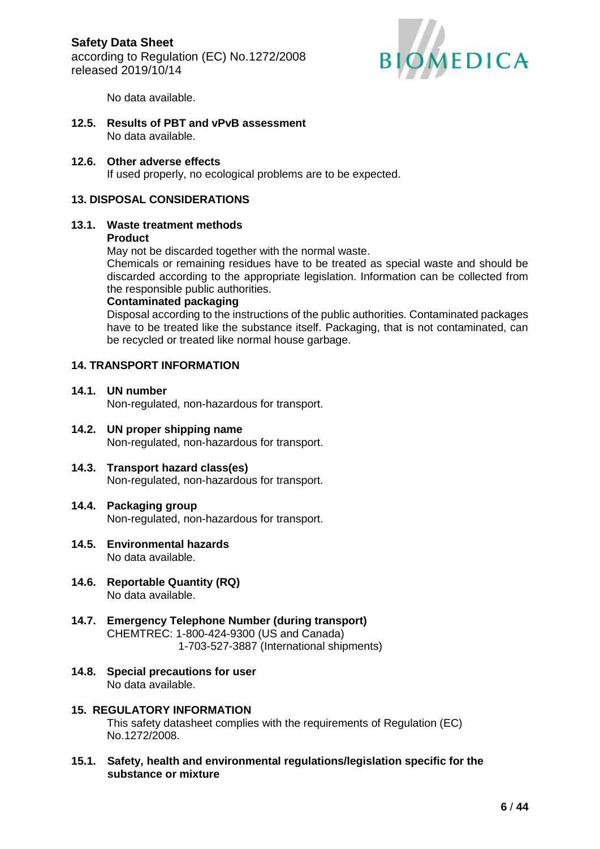

No data available.

**12.5. Results of PBT and vPvB assessment** No data available.

## **12.6. Other adverse effects**

If used properly, no ecological problems are to be expected.

## **13. DISPOSAL CONSIDERATIONS**

# **13.1. Waste treatment methods**

## **Product**

May not be discarded together with the normal waste.

Chemicals or remaining residues have to be treated as special waste and should be discarded according to the appropriate legislation. Information can be collected from the responsible public authorities.

#### **Contaminated packaging**

Disposal according to the instructions of the public authorities. Contaminated packages have to be treated like the substance itself. Packaging, that is not contaminated, can be recycled or treated like normal house garbage.

## **14. TRANSPORT INFORMATION**

- **14.1. UN number** Non-regulated, non-hazardous for transport.
- **14.2. UN proper shipping name** Non-regulated, non-hazardous for transport.
- **14.3. Transport hazard class(es)** Non-regulated, non-hazardous for transport.

### **14.4. Packaging group** Non-regulated, non-hazardous for transport.

- **14.5. Environmental hazards** No data available.
- **14.6. Reportable Quantity (RQ)** No data available.
- **14.7. Emergency Telephone Number (during transport)** CHEMTREC: 1-800-424-9300 (US and Canada) 1-703-527-3887 (International shipments)
- **14.8. Special precautions for user** No data available.

# **15. REGULATORY INFORMATION**

This safety datasheet complies with the requirements of Regulation (EC) No.1272/2008.

**15.1. Safety, health and environmental regulations/legislation specific for the substance or mixture**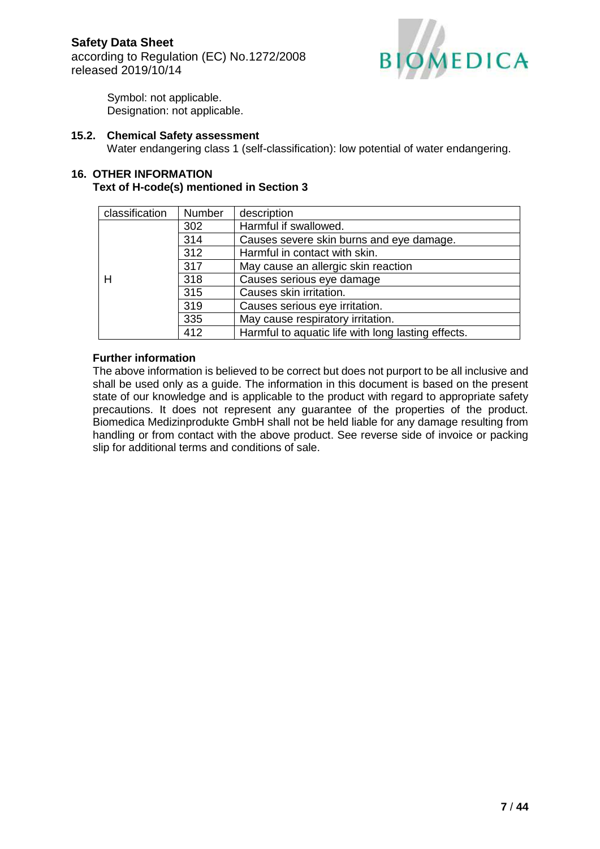

Symbol: not applicable. Designation: not applicable.

#### **15.2. Chemical Safety assessment**

Water endangering class 1 (self-classification): low potential of water endangering.

#### **16. OTHER INFORMATION Text of H-code(s) mentioned in Section 3**

| classification | <b>Number</b> | description                                        |  |
|----------------|---------------|----------------------------------------------------|--|
|                | 302           | Harmful if swallowed.                              |  |
|                | 314           | Causes severe skin burns and eye damage.           |  |
|                | 312           | Harmful in contact with skin.                      |  |
|                | 317           | May cause an allergic skin reaction                |  |
| н              | 318           | Causes serious eye damage                          |  |
|                | 315           | Causes skin irritation.                            |  |
|                | 319           | Causes serious eye irritation.                     |  |
|                | 335           | May cause respiratory irritation.                  |  |
|                | 412           | Harmful to aquatic life with long lasting effects. |  |

### **Further information**

The above information is believed to be correct but does not purport to be all inclusive and shall be used only as a guide. The information in this document is based on the present state of our knowledge and is applicable to the product with regard to appropriate safety precautions. It does not represent any guarantee of the properties of the product. Biomedica Medizinprodukte GmbH shall not be held liable for any damage resulting from handling or from contact with the above product. See reverse side of invoice or packing slip for additional terms and conditions of sale.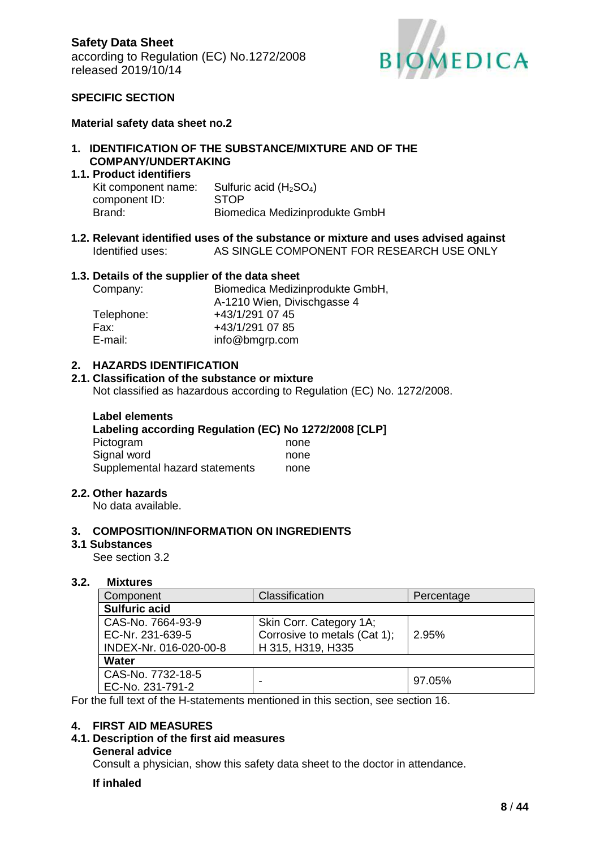

### **SPECIFIC SECTION**

#### **Material safety data sheet no.2**

## **1. IDENTIFICATION OF THE SUBSTANCE/MIXTURE AND OF THE COMPANY/UNDERTAKING**

## **1.1. Product identifiers**

| Kit component name: | Sulfuric acid $(H2SO4)$        |
|---------------------|--------------------------------|
| component ID:       | <b>STOP</b>                    |
| Brand:              | Biomedica Medizinprodukte GmbH |

**1.2. Relevant identified uses of the substance or mixture and uses advised against** Identified uses: AS SINGLE COMPONENT FOR RESEARCH USE ONLY

#### **1.3. Details of the supplier of the data sheet**

| Biomedica Medizinprodukte GmbH, |
|---------------------------------|
| A-1210 Wien, Divischgasse 4     |
| +43/1/291 07 45                 |
| +43/1/291 07 85                 |
| info@bmgrp.com                  |
|                                 |

#### **2. HAZARDS IDENTIFICATION**

#### **2.1. Classification of the substance or mixture**

Not classified as hazardous according to Regulation (EC) No. 1272/2008.

| <b>Label elements</b>                                 |      |
|-------------------------------------------------------|------|
| Labeling according Regulation (EC) No 1272/2008 [CLP] |      |
| Pictogram                                             | none |
| Signal word                                           | none |
| Supplemental hazard statements                        | none |

#### **2.2. Other hazards**

No data available.

#### **3. COMPOSITION/INFORMATION ON INGREDIENTS**

#### **3.1 Substances**

See section 3.2

#### **3.2. Mixtures**

| Component              | Classification               | Percentage |  |  |  |
|------------------------|------------------------------|------------|--|--|--|
| <b>Sulfuric acid</b>   |                              |            |  |  |  |
| CAS-No. 7664-93-9      | Skin Corr. Category 1A;      |            |  |  |  |
| EC-Nr. 231-639-5       | Corrosive to metals (Cat 1); | 2.95%      |  |  |  |
| INDEX-Nr. 016-020-00-8 | H 315, H319, H335            |            |  |  |  |
| Water                  |                              |            |  |  |  |
| CAS-No. 7732-18-5      |                              | 97.05%     |  |  |  |
| EC-No. 231-791-2       |                              |            |  |  |  |

For the full text of the H-statements mentioned in this section, see section 16.

### **4. FIRST AID MEASURES**

### **4.1. Description of the first aid measures**

#### **General advice**

Consult a physician, show this safety data sheet to the doctor in attendance.

#### **If inhaled**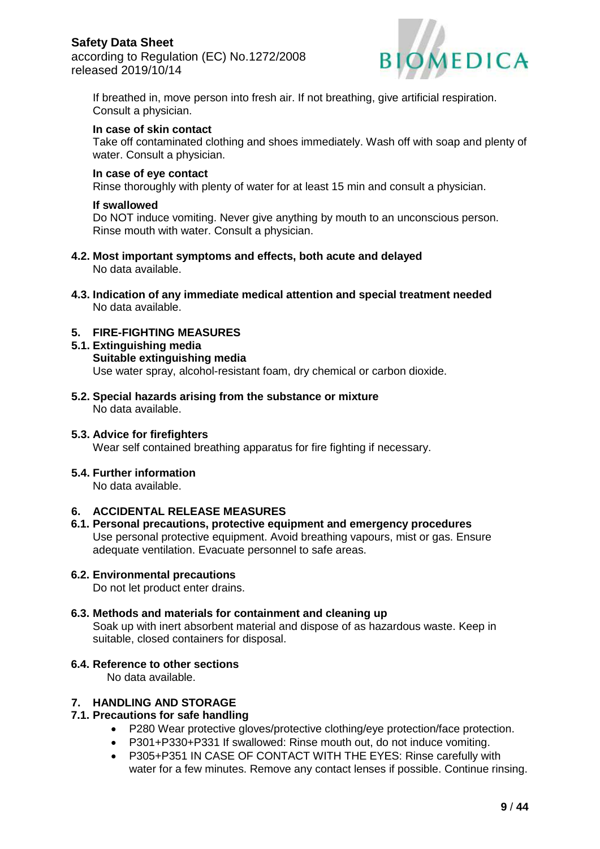according to Regulation (EC) No.1272/2008 released 2019/10/14



If breathed in, move person into fresh air. If not breathing, give artificial respiration. Consult a physician.

#### **In case of skin contact**

Take off contaminated clothing and shoes immediately. Wash off with soap and plenty of water. Consult a physician.

#### **In case of eye contact**

Rinse thoroughly with plenty of water for at least 15 min and consult a physician.

#### **If swallowed**

Do NOT induce vomiting. Never give anything by mouth to an unconscious person. Rinse mouth with water. Consult a physician.

- **4.2. Most important symptoms and effects, both acute and delayed** No data available.
- **4.3. Indication of any immediate medical attention and special treatment needed** No data available.

## **5. FIRE-FIGHTING MEASURES**

- **5.1. Extinguishing media Suitable extinguishing media** Use water spray, alcohol-resistant foam, dry chemical or carbon dioxide.
- **5.2. Special hazards arising from the substance or mixture** No data available.

#### **5.3. Advice for firefighters**

Wear self contained breathing apparatus for fire fighting if necessary.

#### **5.4. Further information**

No data available.

## **6. ACCIDENTAL RELEASE MEASURES**

**6.1. Personal precautions, protective equipment and emergency procedures** Use personal protective equipment. Avoid breathing vapours, mist or gas. Ensure adequate ventilation. Evacuate personnel to safe areas.

### **6.2. Environmental precautions**

Do not let product enter drains.

### **6.3. Methods and materials for containment and cleaning up**

Soak up with inert absorbent material and dispose of as hazardous waste. Keep in suitable, closed containers for disposal.

### **6.4. Reference to other sections**

No data available.

## **7. HANDLING AND STORAGE**

## **7.1. Precautions for safe handling**

- P280 Wear protective gloves/protective clothing/eye protection/face protection.
- P301+P330+P331 If swallowed: Rinse mouth out, do not induce vomiting.
- P305+P351 IN CASE OF CONTACT WITH THE EYES: Rinse carefully with water for a few minutes. Remove any contact lenses if possible. Continue rinsing.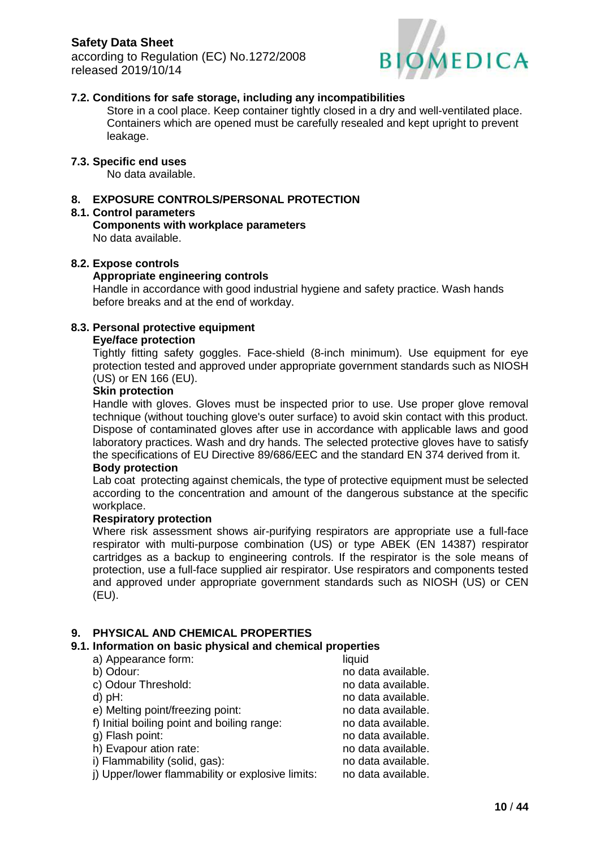according to Regulation (EC) No.1272/2008 released 2019/10/14



## **7.2. Conditions for safe storage, including any incompatibilities**

Store in a cool place. Keep container tightly closed in a dry and well-ventilated place. Containers which are opened must be carefully resealed and kept upright to prevent leakage.

## **7.3. Specific end uses**

No data available.

## **8. EXPOSURE CONTROLS/PERSONAL PROTECTION**

#### **8.1. Control parameters**

**Components with workplace parameters** No data available.

#### **8.2. Expose controls**

#### **Appropriate engineering controls**

Handle in accordance with good industrial hygiene and safety practice. Wash hands before breaks and at the end of workday.

### **8.3. Personal protective equipment**

#### **Eye/face protection**

Tightly fitting safety goggles. Face-shield (8-inch minimum). Use equipment for eye protection tested and approved under appropriate government standards such as NIOSH (US) or EN 166 (EU).

## **Skin protection**

Handle with gloves. Gloves must be inspected prior to use. Use proper glove removal technique (without touching glove's outer surface) to avoid skin contact with this product. Dispose of contaminated gloves after use in accordance with applicable laws and good laboratory practices. Wash and dry hands. The selected protective gloves have to satisfy the specifications of EU Directive 89/686/EEC and the standard EN 374 derived from it.

#### **Body protection**

Lab coat protecting against chemicals, the type of protective equipment must be selected according to the concentration and amount of the dangerous substance at the specific workplace.

#### **Respiratory protection**

Where risk assessment shows air-purifying respirators are appropriate use a full-face respirator with multi-purpose combination (US) or type ABEK (EN 14387) respirator cartridges as a backup to engineering controls. If the respirator is the sole means of protection, use a full-face supplied air respirator. Use respirators and components tested and approved under appropriate government standards such as NIOSH (US) or CEN (EU).

### **9. PHYSICAL AND CHEMICAL PROPERTIES**

#### **9.1. Information on basic physical and chemical properties**

| a) Appearance form:                              | liquid             |
|--------------------------------------------------|--------------------|
| b) Odour:                                        | no data available. |
| c) Odour Threshold:                              | no data available. |
| $d$ ) pH:                                        | no data available. |
| e) Melting point/freezing point:                 | no data available. |
| f) Initial boiling point and boiling range:      | no data available. |
| g) Flash point:                                  | no data available. |
| h) Evapour ation rate:                           | no data available. |
| i) Flammability (solid, gas):                    | no data available. |
| i) Upper/lower flammability or explosive limits: | no data available. |
|                                                  |                    |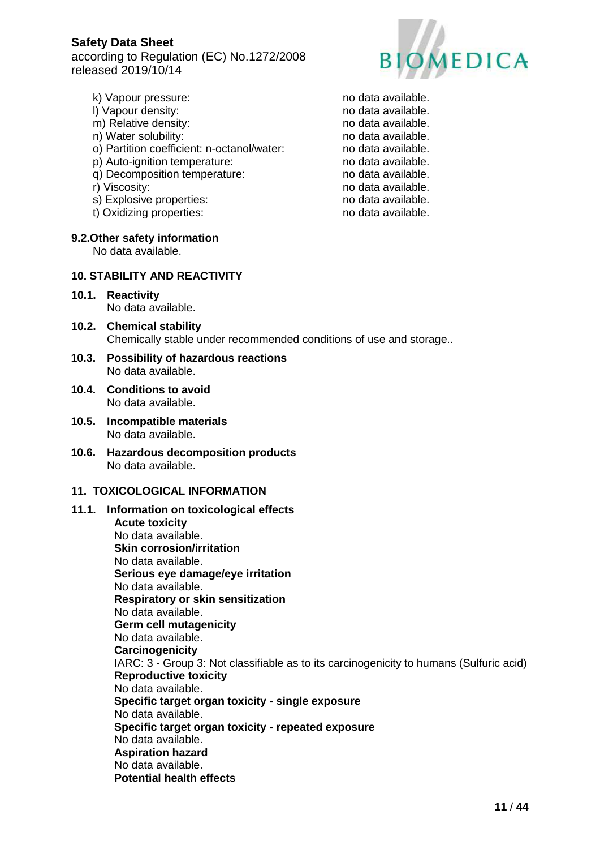according to Regulation (EC) No.1272/2008 released 2019/10/14



- k) Vapour pressure: no data available.
- 
- m) Relative density: no data available.
- n) Water solubility: no data available.
- o) Partition coefficient: n-octanol/water: no data available.
- p) Auto-ignition temperature: no data available.
- q) Decomposition temperature: no data available.
- 
- s) Explosive properties: no data available.
- t) Oxidizing properties: no data available.

#### **9.2.Other safety information**

No data available.

## **10. STABILITY AND REACTIVITY**

- **10.1. Reactivity** No data available.
- **10.2. Chemical stability** Chemically stable under recommended conditions of use and storage..
- **10.3. Possibility of hazardous reactions** No data available.
- **10.4. Conditions to avoid** No data available.
- **10.5. Incompatible materials** No data available.
- **10.6. Hazardous decomposition products** No data available.

### **11. TOXICOLOGICAL INFORMATION**

#### **11.1. Information on toxicological effects Acute toxicity** No data available. **Skin corrosion/irritation** No data available. **Serious eye damage/eye irritation** No data available. **Respiratory or skin sensitization** No data available. **Germ cell mutagenicity** No data available. **Carcinogenicity** IARC: 3 - Group 3: Not classifiable as to its carcinogenicity to humans (Sulfuric acid) **Reproductive toxicity** No data available. **Specific target organ toxicity - single exposure** No data available. **Specific target organ toxicity - repeated exposure** No data available. **Aspiration hazard** No data available. **Potential health effects**

l) Vapour density: no data available. r) Viscosity: no data available.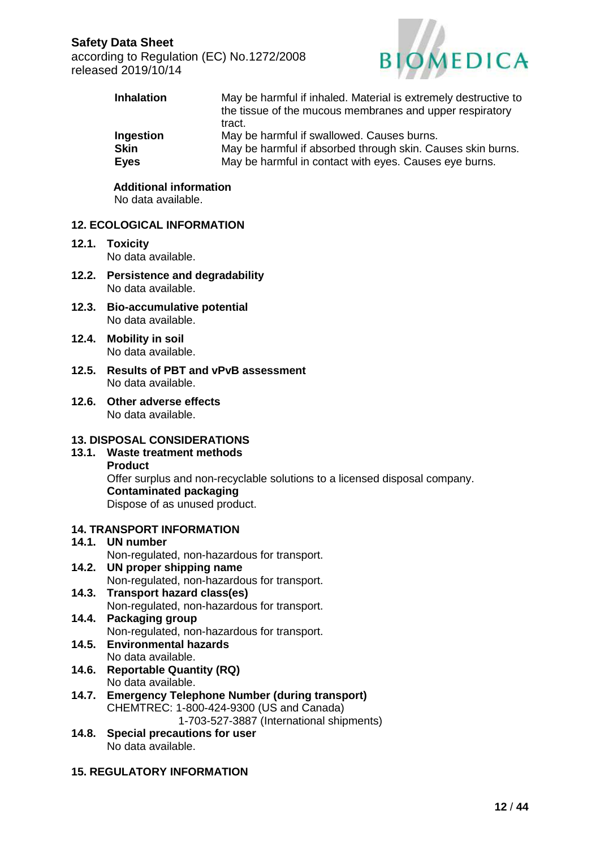according to Regulation (EC) No.1272/2008 released 2019/10/14



| <b>Inhalation</b> | May be harmful if inhaled. Material is extremely destructive to<br>the tissue of the mucous membranes and upper respiratory<br>tract. |
|-------------------|---------------------------------------------------------------------------------------------------------------------------------------|
| Ingestion         | May be harmful if swallowed. Causes burns.                                                                                            |
| <b>Skin</b>       | May be harmful if absorbed through skin. Causes skin burns.                                                                           |
| <b>Eyes</b>       | May be harmful in contact with eyes. Causes eye burns.                                                                                |

 **Additional information** No data available.

#### **12. ECOLOGICAL INFORMATION**

- **12.1. Toxicity** No data available.
- **12.2. Persistence and degradability** No data available.
- **12.3. Bio-accumulative potential** No data available.
- **12.4. Mobility in soil** No data available.
- **12.5. Results of PBT and vPvB assessment** No data available.
- **12.6. Other adverse effects** No data available.

### **13. DISPOSAL CONSIDERATIONS**

**13.1. Waste treatment methods Product** Offer surplus and non-recyclable solutions to a licensed disposal company. **Contaminated packaging** Dispose of as unused product.

## **14. TRANSPORT INFORMATION**

- **14.1. UN number** Non-regulated, non-hazardous for transport.
- **14.2. UN proper shipping name** Non-regulated, non-hazardous for transport.
- **14.3. Transport hazard class(es)** Non-regulated, non-hazardous for transport.
- **14.4. Packaging group** Non-regulated, non-hazardous for transport.
- **14.5. Environmental hazards** No data available.
- **14.6. Reportable Quantity (RQ)** No data available.
- **14.7. Emergency Telephone Number (during transport)** CHEMTREC: 1-800-424-9300 (US and Canada)

1-703-527-3887 (International shipments)

**14.8. Special precautions for user** No data available.

## **15. REGULATORY INFORMATION**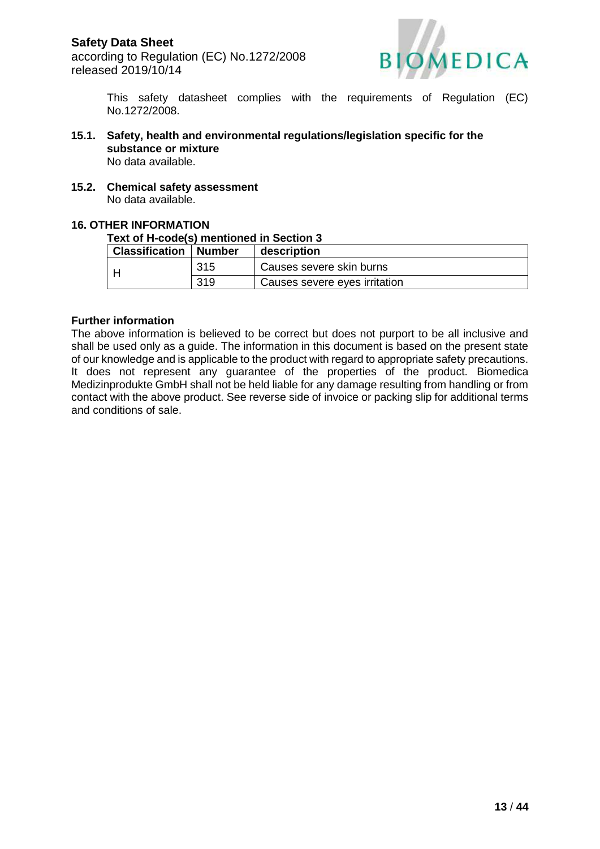

This safety datasheet complies with the requirements of Regulation (EC) No.1272/2008.

- **15.1. Safety, health and environmental regulations/legislation specific for the substance or mixture** No data available.
- **15.2. Chemical safety assessment** No data available.

#### **16. OTHER INFORMATION**

#### **Text of H-code(s) mentioned in Section 3**

| <b>Classification   Number</b> |     | description                   |
|--------------------------------|-----|-------------------------------|
|                                | 315 | Causes severe skin burns      |
|                                | 319 | Causes severe eyes irritation |

#### **Further information**

The above information is believed to be correct but does not purport to be all inclusive and shall be used only as a guide. The information in this document is based on the present state of our knowledge and is applicable to the product with regard to appropriate safety precautions. It does not represent any guarantee of the properties of the product. Biomedica Medizinprodukte GmbH shall not be held liable for any damage resulting from handling or from contact with the above product. See reverse side of invoice or packing slip for additional terms and conditions of sale.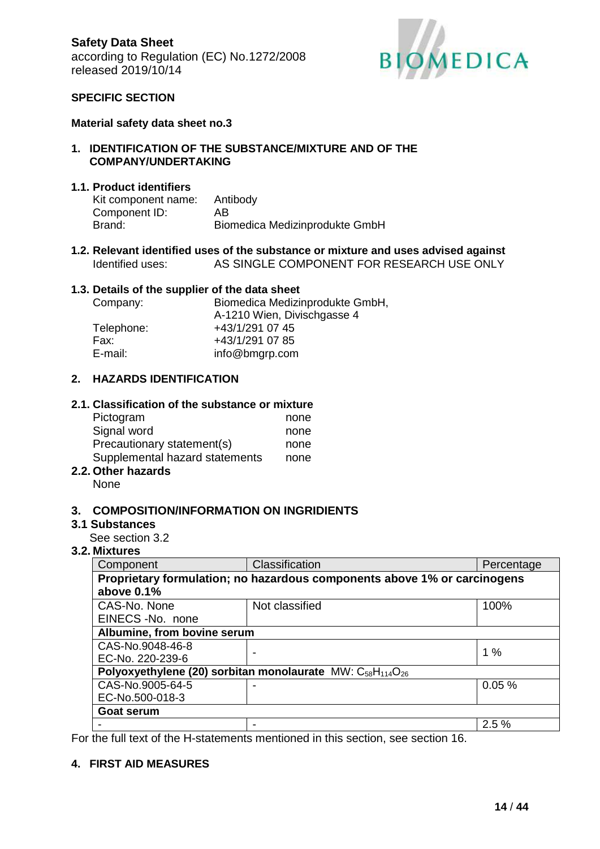

### **SPECIFIC SECTION**

#### **Material safety data sheet no.3**

#### **1. IDENTIFICATION OF THE SUBSTANCE/MIXTURE AND OF THE COMPANY/UNDERTAKING**

#### **1.1. Product identifiers**

| Kit component name: | Antibody                       |
|---------------------|--------------------------------|
| Component ID:       | AВ                             |
| Brand:              | Biomedica Medizinprodukte GmbH |

#### **1.2. Relevant identified uses of the substance or mixture and uses advised against** Identified uses: AS SINGLE COMPONENT FOR RESEARCH USE ONLY

#### **1.3. Details of the supplier of the data sheet**

| Biomedica Medizinprodukte GmbH, |
|---------------------------------|
| A-1210 Wien, Divischgasse 4     |
| +43/1/291 07 45                 |
| +43/1/291 07 85                 |
| info@bmgrp.com                  |
|                                 |

### **2. HAZARDS IDENTIFICATION**

#### **2.1. Classification of the substance or mixture**

| Pictogram                      | none |
|--------------------------------|------|
| Signal word                    | none |
| Precautionary statement(s)     | none |
| Supplemental hazard statements | none |
| Athen hemande                  |      |

# **2.2. Other hazards**

None

#### **3. COMPOSITION/INFORMATION ON INGRIDIENTS**

#### **3.1 Substances**

See section 3.2

#### **3.2. Mixtures**

| Component                                                                                      | Classification | Percentage |  |
|------------------------------------------------------------------------------------------------|----------------|------------|--|
| Proprietary formulation; no hazardous components above 1% or carcinogens                       |                |            |  |
| above 0.1%                                                                                     |                |            |  |
| CAS-No. None                                                                                   | Not classified | 100%       |  |
| EINECS-No. none                                                                                |                |            |  |
| Albumine, from bovine serum                                                                    |                |            |  |
| CAS-No.9048-46-8                                                                               |                | 1%         |  |
| EC-No. 220-239-6                                                                               |                |            |  |
| Polyoxyethylene (20) sorbitan monolaurate MW: C <sub>58</sub> H <sub>114</sub> O <sub>26</sub> |                |            |  |
| CAS-No.9005-64-5                                                                               |                | 0.05%      |  |
| EC-No.500-018-3                                                                                |                |            |  |
| <b>Goat serum</b>                                                                              |                |            |  |
|                                                                                                |                | 2.5%       |  |

For the full text of the H-statements mentioned in this section, see section 16.

#### **4. FIRST AID MEASURES**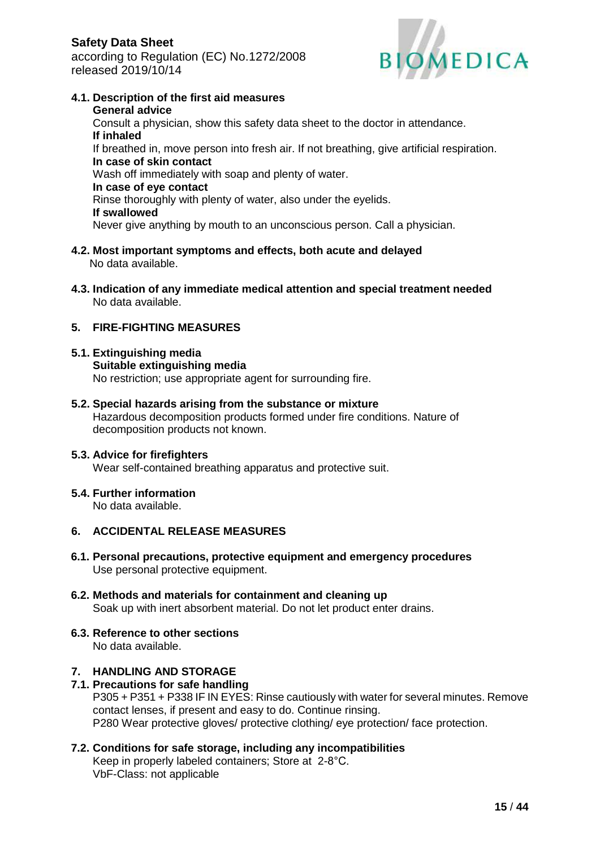

- **4.1. Description of the first aid measures General advice** Consult a physician, show this safety data sheet to the doctor in attendance. **If inhaled** If breathed in, move person into fresh air. If not breathing, give artificial respiration. **In case of skin contact** Wash off immediately with soap and plenty of water. **In case of eye contact** Rinse thoroughly with plenty of water, also under the eyelids. **If swallowed** Never give anything by mouth to an unconscious person. Call a physician.
- **4.2. Most important symptoms and effects, both acute and delayed** No data available.
- **4.3. Indication of any immediate medical attention and special treatment needed** No data available.

## **5. FIRE-FIGHTING MEASURES**

- **5.1. Extinguishing media Suitable extinguishing media** No restriction; use appropriate agent for surrounding fire.
- **5.2. Special hazards arising from the substance or mixture** Hazardous decomposition products formed under fire conditions. Nature of decomposition products not known.

### **5.3. Advice for firefighters**

Wear self-contained breathing apparatus and protective suit.

### **5.4. Further information**

No data available.

## **6. ACCIDENTAL RELEASE MEASURES**

- **6.1. Personal precautions, protective equipment and emergency procedures** Use personal protective equipment.
- **6.2. Methods and materials for containment and cleaning up** Soak up with inert absorbent material. Do not let product enter drains.

#### **6.3. Reference to other sections** No data available.

## **7. HANDLING AND STORAGE**

**7.1. Precautions for safe handling** P305 + P351 + P338 IF IN EYES: Rinse cautiously with water for several minutes. Remove contact lenses, if present and easy to do. Continue rinsing. P280 Wear protective gloves/ protective clothing/ eye protection/ face protection.

#### **7.2. Conditions for safe storage, including any incompatibilities** Keep in properly labeled containers; Store at 2-8°C. VbF-Class: not applicable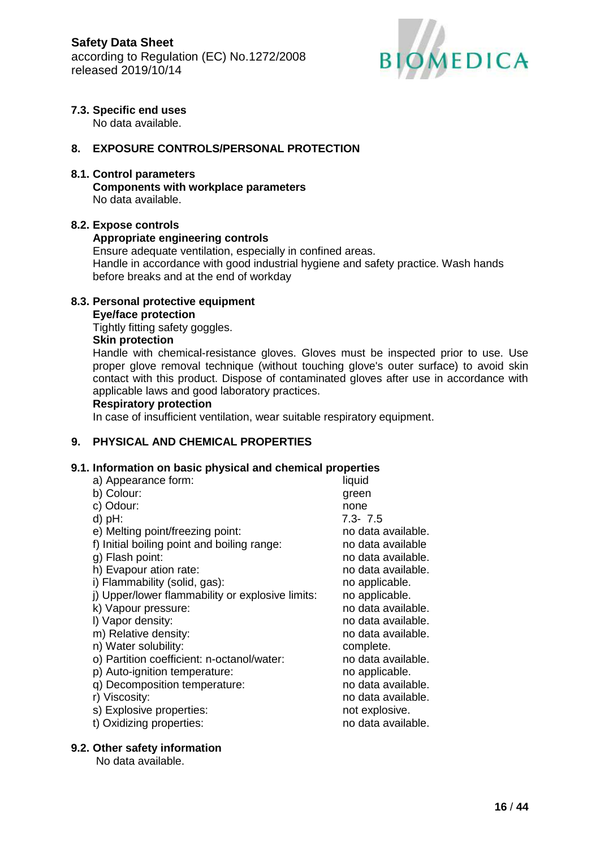

## **7.3. Specific end uses**

No data available.

## **8. EXPOSURE CONTROLS/PERSONAL PROTECTION**

### **8.1. Control parameters**

**Components with workplace parameters** No data available.

### **8.2. Expose controls**

### **Appropriate engineering controls**

Ensure adequate ventilation, especially in confined areas. Handle in accordance with good industrial hygiene and safety practice. Wash hands before breaks and at the end of workday

## **8.3. Personal protective equipment**

#### **Eye/face protection**

Tightly fitting safety goggles.

### **Skin protection**

Handle with chemical-resistance gloves. Gloves must be inspected prior to use. Use proper glove removal technique (without touching glove's outer surface) to avoid skin contact with this product. Dispose of contaminated gloves after use in accordance with applicable laws and good laboratory practices.

#### **Respiratory protection**

In case of insufficient ventilation, wear suitable respiratory equipment.

## **9. PHYSICAL AND CHEMICAL PROPERTIES**

### **9.1. Information on basic physical and chemical properties**

| a) Appearance form:                              | liquid             |
|--------------------------------------------------|--------------------|
| b) Colour:                                       | green              |
| c) Odour:                                        | none               |
| $d$ ) pH:                                        | $7.3 - 7.5$        |
| e) Melting point/freezing point:                 | no data available. |
| f) Initial boiling point and boiling range:      | no data available  |
| g) Flash point:                                  | no data available. |
| h) Evapour ation rate:                           | no data available. |
| i) Flammability (solid, gas):                    | no applicable.     |
| j) Upper/lower flammability or explosive limits: | no applicable.     |
| k) Vapour pressure:                              | no data available. |
| I) Vapor density:                                | no data available. |
| m) Relative density:                             | no data available. |
| n) Water solubility:                             | complete.          |
| o) Partition coefficient: n-octanol/water:       | no data available. |
| p) Auto-ignition temperature:                    | no applicable.     |
| q) Decomposition temperature:                    | no data available. |
| r) Viscosity:                                    | no data available. |
| s) Explosive properties:                         | not explosive.     |
| t) Oxidizing properties:                         | no data available. |
|                                                  |                    |

### **9.2. Other safety information**

No data available.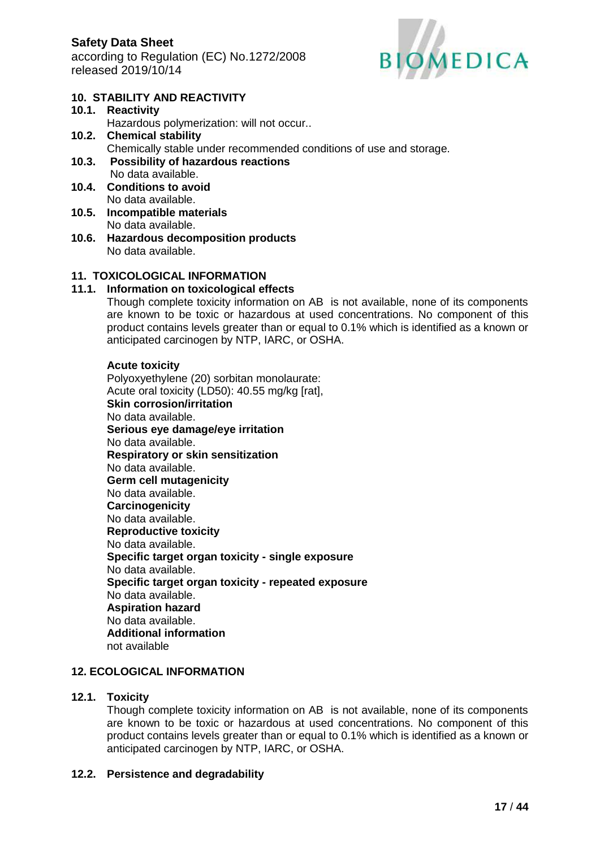

## **10. STABILITY AND REACTIVITY**

**10.1. Reactivity** Hazardous polymerization: will not occur.. **10.2. Chemical stability**

Chemically stable under recommended conditions of use and storage.

- **10.3. Possibility of hazardous reactions** No data available.
- **10.4. Conditions to avoid** No data available.
- **10.5. Incompatible materials** No data available.
- **10.6. Hazardous decomposition products** No data available.

## **11. TOXICOLOGICAL INFORMATION**

### **11.1. Information on toxicological effects**

Though complete toxicity information on AB is not available, none of its components are known to be toxic or hazardous at used concentrations. No component of this product contains levels greater than or equal to 0.1% which is identified as a known or anticipated carcinogen by NTP, IARC, or OSHA.

#### **Acute toxicity**

Polyoxyethylene (20) sorbitan monolaurate: Acute oral toxicity (LD50): 40.55 mg/kg [rat], **Skin corrosion/irritation** No data available. **Serious eye damage/eye irritation** No data available. **Respiratory or skin sensitization** No data available. **Germ cell mutagenicity** No data available. **Carcinogenicity** No data available. **Reproductive toxicity** No data available. **Specific target organ toxicity - single exposure** No data available. **Specific target organ toxicity - repeated exposure** No data available. **Aspiration hazard** No data available. **Additional information** not available

## **12. ECOLOGICAL INFORMATION**

### **12.1. Toxicity**

Though complete toxicity information on AB is not available, none of its components are known to be toxic or hazardous at used concentrations. No component of this product contains levels greater than or equal to 0.1% which is identified as a known or anticipated carcinogen by NTP, IARC, or OSHA.

### **12.2. Persistence and degradability**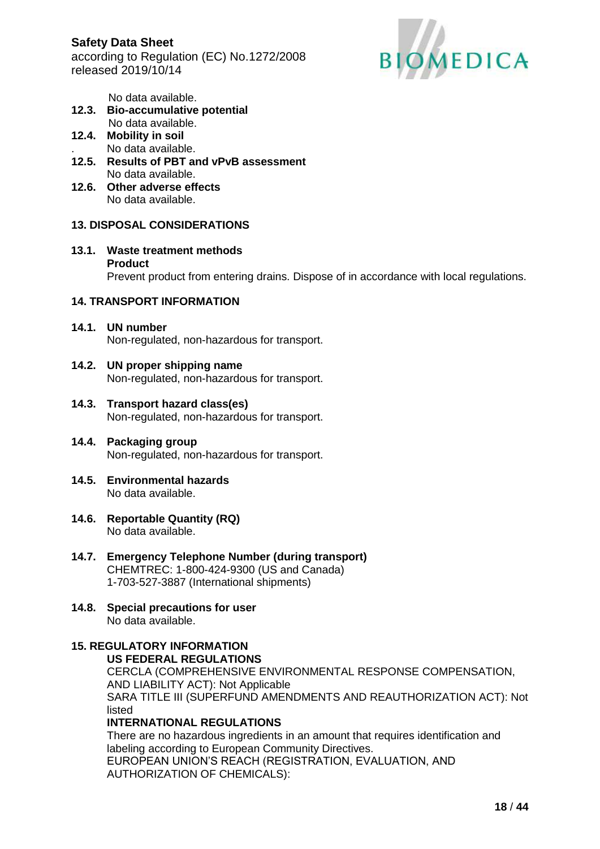**Safety Data Sheet** according to Regulation (EC) No.1272/2008 released 2019/10/14



No data available.

- **12.3. Bio-accumulative potential** No data available.
- **12.4. Mobility in soil** . No data available.
- **12.5. Results of PBT and vPvB assessment** No data available.
- **12.6. Other adverse effects** No data available.

## **13. DISPOSAL CONSIDERATIONS**

**13.1. Waste treatment methods Product**

Prevent product from entering drains. Dispose of in accordance with local regulations.

#### **14. TRANSPORT INFORMATION**

- **14.1. UN number** Non-regulated, non-hazardous for transport.
- **14.2. UN proper shipping name** Non-regulated, non-hazardous for transport.
- **14.3. Transport hazard class(es)** Non-regulated, non-hazardous for transport.
- **14.4. Packaging group** Non-regulated, non-hazardous for transport.
- **14.5. Environmental hazards** No data available.
- **14.6. Reportable Quantity (RQ)** No data available.
- **14.7. Emergency Telephone Number (during transport)** CHEMTREC: 1-800-424-9300 (US and Canada) 1-703-527-3887 (International shipments)
- **14.8. Special precautions for user** No data available.

#### **15. REGULATORY INFORMATION US FEDERAL REGULATIONS**

CERCLA (COMPREHENSIVE ENVIRONMENTAL RESPONSE COMPENSATION, AND LIABILITY ACT): Not Applicable SARA TITLE III (SUPERFUND AMENDMENTS AND REAUTHORIZATION ACT): Not listed **INTERNATIONAL REGULATIONS**

There are no hazardous ingredients in an amount that requires identification and labeling according to European Community Directives. EUROPEAN UNION'S REACH (REGISTRATION, EVALUATION, AND AUTHORIZATION OF CHEMICALS):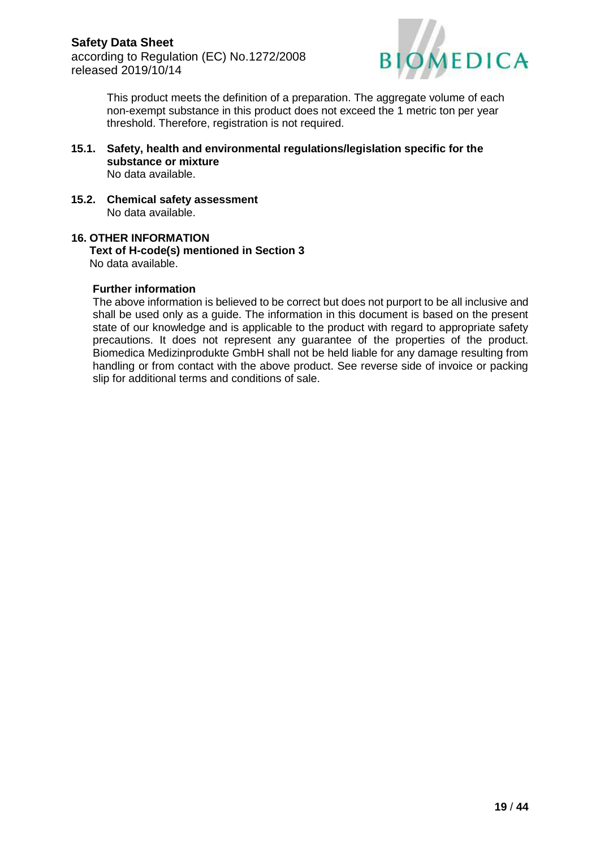

This product meets the definition of a preparation. The aggregate volume of each non-exempt substance in this product does not exceed the 1 metric ton per year threshold. Therefore, registration is not required.

- **15.1. Safety, health and environmental regulations/legislation specific for the substance or mixture** No data available.
- **15.2. Chemical safety assessment** No data available.

#### **16. OTHER INFORMATION Text of H-code(s) mentioned in Section 3** No data available.

### **Further information**

The above information is believed to be correct but does not purport to be all inclusive and shall be used only as a guide. The information in this document is based on the present state of our knowledge and is applicable to the product with regard to appropriate safety precautions. It does not represent any guarantee of the properties of the product. Biomedica Medizinprodukte GmbH shall not be held liable for any damage resulting from handling or from contact with the above product. See reverse side of invoice or packing slip for additional terms and conditions of sale.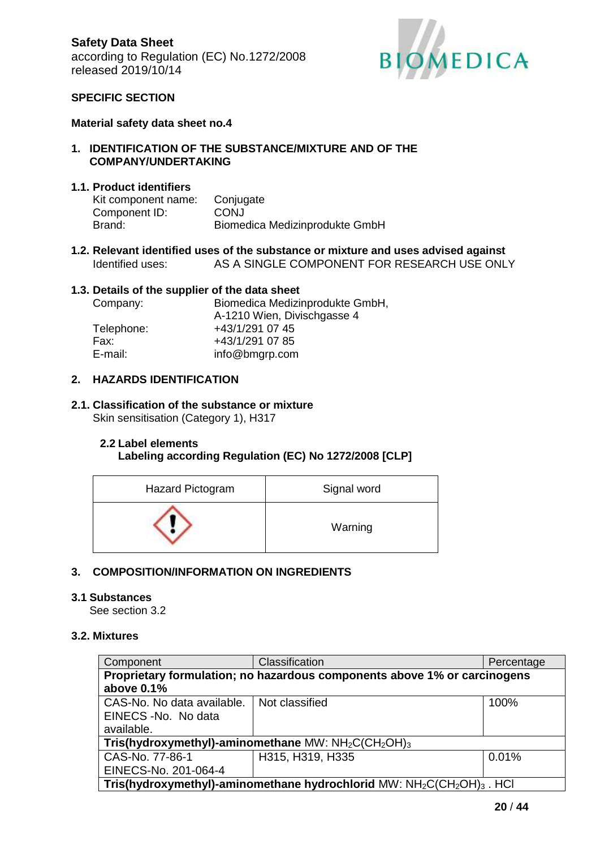

### **SPECIFIC SECTION**

#### **Material safety data sheet no.4**

#### **1. IDENTIFICATION OF THE SUBSTANCE/MIXTURE AND OF THE COMPANY/UNDERTAKING**

#### **1.1. Product identifiers**

| Kit component name: | Conjugate                      |
|---------------------|--------------------------------|
| Component ID:       | <b>CONJ</b>                    |
| Brand:              | Biomedica Medizinprodukte GmbH |

**1.2. Relevant identified uses of the substance or mixture and uses advised against** Identified uses: AS A SINGLE COMPONENT FOR RESEARCH USE ONLY

#### **1.3. Details of the supplier of the data sheet**

| Company:   | Biomedica Medizinprodukte GmbH, |
|------------|---------------------------------|
|            | A-1210 Wien, Divischgasse 4     |
| Telephone: | +43/1/291 07 45                 |
| Fax:       | +43/1/291 07 85                 |
| E-mail:    | info@bmgrp.com                  |

#### **2. HAZARDS IDENTIFICATION**

#### **2.1. Classification of the substance or mixture** Skin sensitisation (Category 1), H317

## **2.2 Label elements**

### **Labeling according Regulation (EC) No 1272/2008 [CLP]**

| Hazard Pictogram | Signal word |
|------------------|-------------|
|                  | Warning     |

### **3. COMPOSITION/INFORMATION ON INGREDIENTS**

#### **3.1 Substances**

See section 3.2

## **3.2. Mixtures**

| Component                                                                                                  | Classification   | Percentage |  |  |
|------------------------------------------------------------------------------------------------------------|------------------|------------|--|--|
| Proprietary formulation; no hazardous components above 1% or carcinogens                                   |                  |            |  |  |
| above 0.1%                                                                                                 |                  |            |  |  |
| CAS-No. No data available.                                                                                 | Not classified   | 100%       |  |  |
| EINECS - No. No data                                                                                       |                  |            |  |  |
| available.                                                                                                 |                  |            |  |  |
| Tris(hydroxymethyl)-aminomethane MW: $NH2C(CH2OH)3$                                                        |                  |            |  |  |
| CAS-No. 77-86-1                                                                                            | H315, H319, H335 | 0.01%      |  |  |
| EINECS-No. 201-064-4                                                                                       |                  |            |  |  |
| Tris(hydroxymethyl)-aminomethane hydrochlorid MW: NH <sub>2</sub> C(CH <sub>2</sub> OH) <sub>3</sub> . HCl |                  |            |  |  |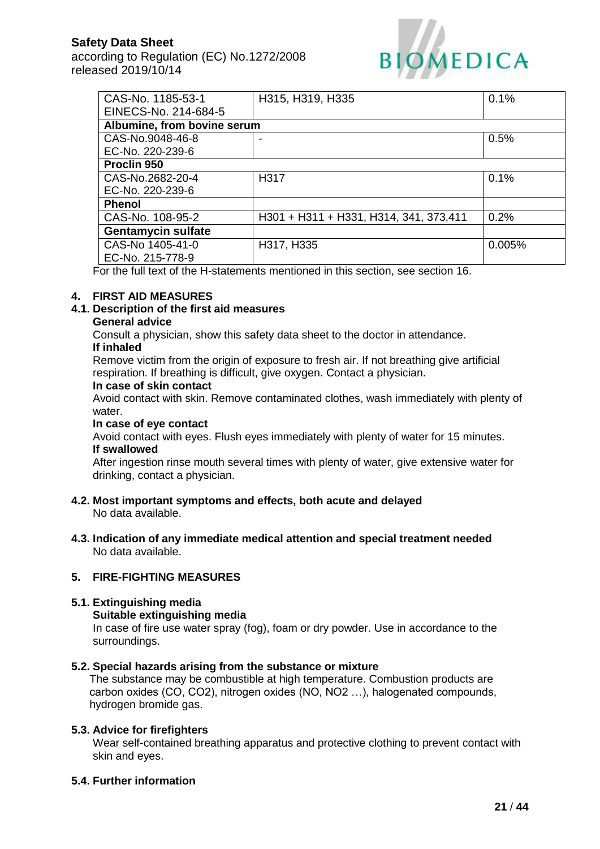according to Regulation (EC) No.1272/2008 released 2019/10/14



| CAS-No. 1185-53-1           | H315, H319, H335                       | 0.1%   |
|-----------------------------|----------------------------------------|--------|
| EINECS-No. 214-684-5        |                                        |        |
| Albumine, from bovine serum |                                        |        |
| CAS-No.9048-46-8            |                                        | 0.5%   |
| EC-No. 220-239-6            |                                        |        |
| Proclin 950                 |                                        |        |
| CAS-No.2682-20-4            | H317                                   | 0.1%   |
| EC-No. 220-239-6            |                                        |        |
| <b>Phenol</b>               |                                        |        |
| CAS-No. 108-95-2            | H301 + H311 + H331, H314, 341, 373,411 | 0.2%   |
| <b>Gentamycin sulfate</b>   |                                        |        |
| CAS-No 1405-41-0            | H317, H335                             | 0.005% |
| EC-No. 215-778-9            |                                        |        |

For the full text of the H-statements mentioned in this section, see section 16.

#### **4. FIRST AID MEASURES**

#### **4.1. Description of the first aid measures**

#### **General advice**

Consult a physician, show this safety data sheet to the doctor in attendance. **If inhaled**

Remove victim from the origin of exposure to fresh air. If not breathing give artificial respiration. If breathing is difficult, give oxygen. Contact a physician.

#### **In case of skin contact**

Avoid contact with skin. Remove contaminated clothes, wash immediately with plenty of water.

## **In case of eye contact**

Avoid contact with eyes. Flush eyes immediately with plenty of water for 15 minutes. **If swallowed**

After ingestion rinse mouth several times with plenty of water, give extensive water for drinking, contact a physician.

- **4.2. Most important symptoms and effects, both acute and delayed** No data available.
- **4.3. Indication of any immediate medical attention and special treatment needed** No data available.

#### **5. FIRE-FIGHTING MEASURES**

### **5.1. Extinguishing media**

#### **Suitable extinguishing media**

In case of fire use water spray (fog), foam or dry powder. Use in accordance to the surroundings.

#### **5.2. Special hazards arising from the substance or mixture**

The substance may be combustible at high temperature. Combustion products are carbon oxides (CO, CO2), nitrogen oxides (NO, NO2 …), halogenated compounds, hydrogen bromide gas.

#### **5.3. Advice for firefighters**

Wear self-contained breathing apparatus and protective clothing to prevent contact with skin and eyes.

#### **5.4. Further information**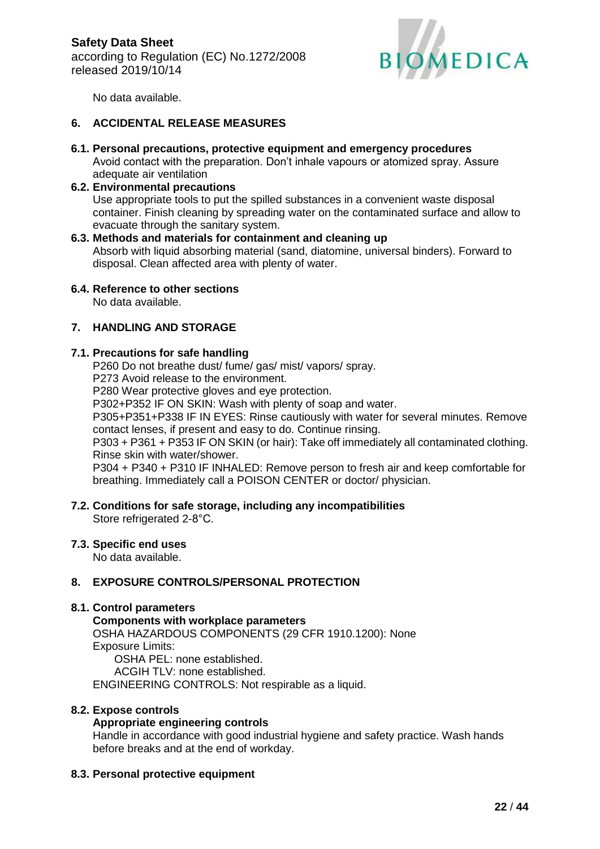

No data available.

## **6. ACCIDENTAL RELEASE MEASURES**

**6.1. Personal precautions, protective equipment and emergency procedures** Avoid contact with the preparation. Don't inhale vapours or atomized spray. Assure adequate air ventilation

### **6.2. Environmental precautions**

Use appropriate tools to put the spilled substances in a convenient waste disposal container. Finish cleaning by spreading water on the contaminated surface and allow to evacuate through the sanitary system.

### **6.3. Methods and materials for containment and cleaning up**

Absorb with liquid absorbing material (sand, diatomine, universal binders). Forward to disposal. Clean affected area with plenty of water.

### **6.4. Reference to other sections**

No data available.

### **7. HANDLING AND STORAGE**

### **7.1. Precautions for safe handling**

P260 Do not breathe dust/ fume/ gas/ mist/ vapors/ spray.

P273 Avoid release to the environment.

P280 Wear protective gloves and eye protection.

P302+P352 IF ON SKIN: Wash with plenty of soap and water.

P305+P351+P338 IF IN EYES: Rinse cautiously with water for several minutes. Remove contact lenses, if present and easy to do. Continue rinsing.

P303 + P361 + P353 IF ON SKIN (or hair): Take off immediately all contaminated clothing. Rinse skin with water/shower.

P304 + P340 + P310 IF INHALED: Remove person to fresh air and keep comfortable for breathing. Immediately call a POISON CENTER or doctor/ physician.

#### **7.2. Conditions for safe storage, including any incompatibilities** Store refrigerated 2-8°C.

## **7.3. Specific end uses**

No data available.

### **8. EXPOSURE CONTROLS/PERSONAL PROTECTION**

### **8.1. Control parameters**

**Components with workplace parameters** OSHA HAZARDOUS COMPONENTS (29 CFR 1910.1200): None Exposure Limits: OSHA PEL: none established.

ACGIH TLV: none established. ENGINEERING CONTROLS: Not respirable as a liquid.

### **8.2. Expose controls**

## **Appropriate engineering controls**

Handle in accordance with good industrial hygiene and safety practice. Wash hands before breaks and at the end of workday.

### **8.3. Personal protective equipment**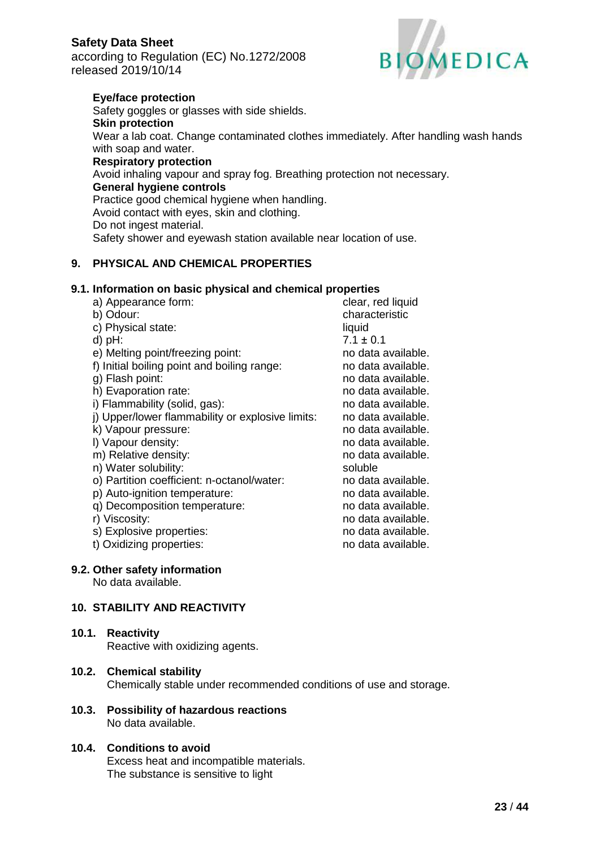according to Regulation (EC) No.1272/2008 released 2019/10/14



## **Eye/face protection**

Safety goggles or glasses with side shields. **Skin protection** Wear a lab coat. Change contaminated clothes immediately. After handling wash hands with soap and water.

### **Respiratory protection**

Avoid inhaling vapour and spray fog. Breathing protection not necessary. **General hygiene controls** Practice good chemical hygiene when handling. Avoid contact with eyes, skin and clothing. Do not ingest material. Safety shower and eyewash station available near location of use.

## **9. PHYSICAL AND CHEMICAL PROPERTIES**

## **9.1. Information on basic physical and chemical properties**

## **9.2. Other safety information**

No data available.

### **10. STABILITY AND REACTIVITY**

### **10.1. Reactivity**

Reactive with oxidizing agents.

### **10.2. Chemical stability**

Chemically stable under recommended conditions of use and storage.

#### **10.3. Possibility of hazardous reactions** No data available.

## **10.4. Conditions to avoid**

Excess heat and incompatible materials. The substance is sensitive to light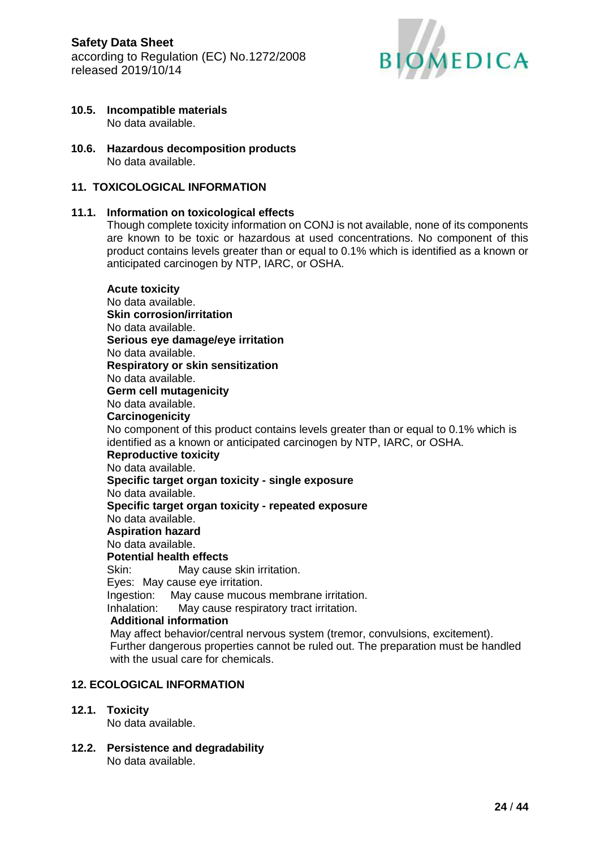

- **10.5. Incompatible materials** No data available.
- **10.6. Hazardous decomposition products** No data available.

### **11. TOXICOLOGICAL INFORMATION**

#### **11.1. Information on toxicological effects**

Though complete toxicity information on CONJ is not available, none of its components are known to be toxic or hazardous at used concentrations. No component of this product contains levels greater than or equal to 0.1% which is identified as a known or anticipated carcinogen by NTP, IARC, or OSHA.

#### **Acute toxicity** No data available. **Skin corrosion/irritation** No data available. **Serious eye damage/eye irritation** No data available. **Respiratory or skin sensitization** No data available. **Germ cell mutagenicity** No data available. **Carcinogenicity** No component of this product contains levels greater than or equal to 0.1% which is identified as a known or anticipated carcinogen by NTP, IARC, or OSHA. **Reproductive toxicity** No data available. **Specific target organ toxicity - single exposure** No data available. **Specific target organ toxicity - repeated exposure** No data available. **Aspiration hazard** No data available. **Potential health effects** Skin: May cause skin irritation. Eyes: May cause eye irritation. Ingestion: May cause mucous membrane irritation. Inhalation: May cause respiratory tract irritation. **Additional information** May affect behavior/central nervous system (tremor, convulsions, excitement). Further dangerous properties cannot be ruled out. The preparation must be handled with the usual care for chemicals.

#### **12. ECOLOGICAL INFORMATION**

#### **12.1. Toxicity**

No data available.

**12.2. Persistence and degradability** No data available.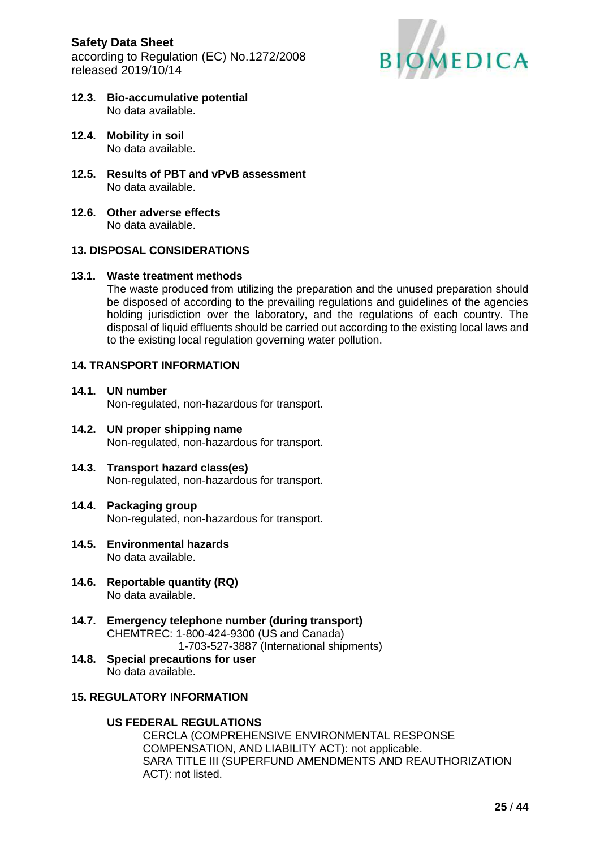**Safety Data Sheet** according to Regulation (EC) No.1272/2008 released 2019/10/14



- **12.3. Bio-accumulative potential** No data available.
- **12.4. Mobility in soil** No data available.
- **12.5. Results of PBT and vPvB assessment** No data available.
- **12.6. Other adverse effects** No data available.

#### **13. DISPOSAL CONSIDERATIONS**

#### **13.1. Waste treatment methods**

The waste produced from utilizing the preparation and the unused preparation should be disposed of according to the prevailing regulations and guidelines of the agencies holding jurisdiction over the laboratory, and the regulations of each country. The disposal of liquid effluents should be carried out according to the existing local laws and to the existing local regulation governing water pollution.

#### **14. TRANSPORT INFORMATION**

- **14.1. UN number** Non-regulated, non-hazardous for transport.
- **14.2. UN proper shipping name** Non-regulated, non-hazardous for transport.
- **14.3. Transport hazard class(es)** Non-regulated, non-hazardous for transport.
- **14.4. Packaging group** Non-regulated, non-hazardous for transport.
- **14.5. Environmental hazards** No data available.
- **14.6. Reportable quantity (RQ)** No data available.
- **14.7. Emergency telephone number (during transport)** CHEMTREC: 1-800-424-9300 (US and Canada) 1-703-527-3887 (International shipments)
- **14.8. Special precautions for user** No data available.

### **15. REGULATORY INFORMATION**

### **US FEDERAL REGULATIONS**

CERCLA (COMPREHENSIVE ENVIRONMENTAL RESPONSE COMPENSATION, AND LIABILITY ACT): not applicable. SARA TITLE III (SUPERFUND AMENDMENTS AND REAUTHORIZATION ACT): not listed.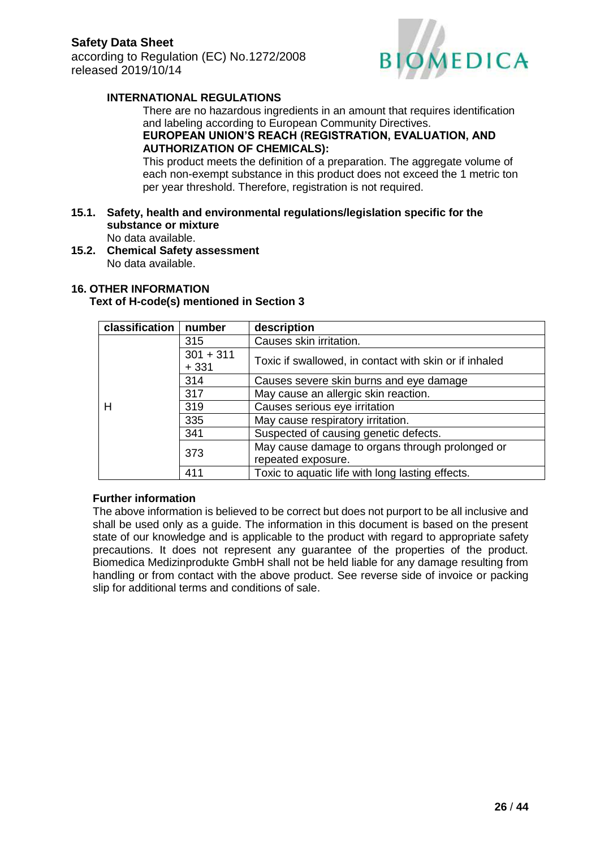

## **INTERNATIONAL REGULATIONS**

There are no hazardous ingredients in an amount that requires identification and labeling according to European Community Directives.

## **EUROPEAN UNION'S REACH (REGISTRATION, EVALUATION, AND AUTHORIZATION OF CHEMICALS):**

This product meets the definition of a preparation. The aggregate volume of each non-exempt substance in this product does not exceed the 1 metric ton per year threshold. Therefore, registration is not required.

#### **15.1. Safety, health and environmental regulations/legislation specific for the substance or mixture** No data available.

**15.2. Chemical Safety assessment** No data available.

## **16. OTHER INFORMATION**

#### **Text of H-code(s) mentioned in Section 3**

| classification                | number      | description                                            |  |
|-------------------------------|-------------|--------------------------------------------------------|--|
|                               | 315         | Causes skin irritation.                                |  |
|                               | $301 + 311$ |                                                        |  |
|                               | $+331$      | Toxic if swallowed, in contact with skin or if inhaled |  |
|                               | 314         | Causes severe skin burns and eye damage                |  |
| 317<br>319<br>н<br>335<br>341 |             | May cause an allergic skin reaction.                   |  |
|                               |             | Causes serious eye irritation                          |  |
|                               |             | May cause respiratory irritation.                      |  |
|                               |             | Suspected of causing genetic defects.                  |  |
| 373                           |             | May cause damage to organs through prolonged or        |  |
|                               |             | repeated exposure.                                     |  |
|                               | 411         | Toxic to aquatic life with long lasting effects.       |  |

### **Further information**

The above information is believed to be correct but does not purport to be all inclusive and shall be used only as a guide. The information in this document is based on the present state of our knowledge and is applicable to the product with regard to appropriate safety precautions. It does not represent any guarantee of the properties of the product. Biomedica Medizinprodukte GmbH shall not be held liable for any damage resulting from handling or from contact with the above product. See reverse side of invoice or packing slip for additional terms and conditions of sale.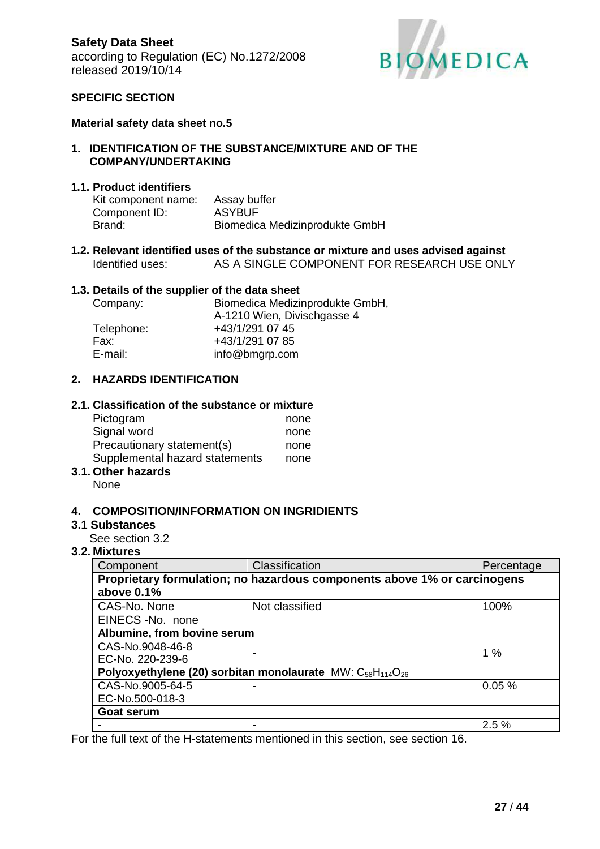

#### **SPECIFIC SECTION**

#### **Material safety data sheet no.5**

#### **1. IDENTIFICATION OF THE SUBSTANCE/MIXTURE AND OF THE COMPANY/UNDERTAKING**

### **1.1. Product identifiers**

| Kit component name: | Assay buffer                   |
|---------------------|--------------------------------|
| Component ID:       | <b>ASYBUF</b>                  |
| Brand:              | Biomedica Medizinprodukte GmbH |

**1.2. Relevant identified uses of the substance or mixture and uses advised against** Identified uses: AS A SINGLE COMPONENT FOR RESEARCH USE ONLY

#### **1.3. Details of the supplier of the data sheet**

| Biomedica Medizinprodukte GmbH, |  |
|---------------------------------|--|
| A-1210 Wien, Divischgasse 4     |  |
| +43/1/291 07 45                 |  |
| +43/1/291 07 85                 |  |
| info@bmgrp.com                  |  |
|                                 |  |

### **2. HAZARDS IDENTIFICATION**

#### **2.1. Classification of the substance or mixture**

| Pictogram                      | none |
|--------------------------------|------|
| Signal word                    | none |
| Precautionary statement(s)     | none |
| Supplemental hazard statements | none |
|                                |      |

## **3.1. Other hazards**

None

#### **4. COMPOSITION/INFORMATION ON INGRIDIENTS**

#### **3.1 Substances**

See section 3.2

#### **3.2. Mixtures**

| Component                                                                                      | Classification | Percentage |
|------------------------------------------------------------------------------------------------|----------------|------------|
| Proprietary formulation; no hazardous components above 1% or carcinogens                       |                |            |
| above 0.1%                                                                                     |                |            |
| CAS-No. None                                                                                   | Not classified | 100%       |
| EINECS-No. none                                                                                |                |            |
| Albumine, from bovine serum                                                                    |                |            |
| CAS-No.9048-46-8                                                                               |                | 1%         |
| EC-No. 220-239-6                                                                               |                |            |
| Polyoxyethylene (20) sorbitan monolaurate MW: C <sub>58</sub> H <sub>114</sub> O <sub>26</sub> |                |            |
| CAS-No.9005-64-5                                                                               |                | 0.05%      |
| EC-No.500-018-3                                                                                |                |            |
| Goat serum                                                                                     |                |            |
|                                                                                                |                | 2.5%       |

For the full text of the H-statements mentioned in this section, see section 16.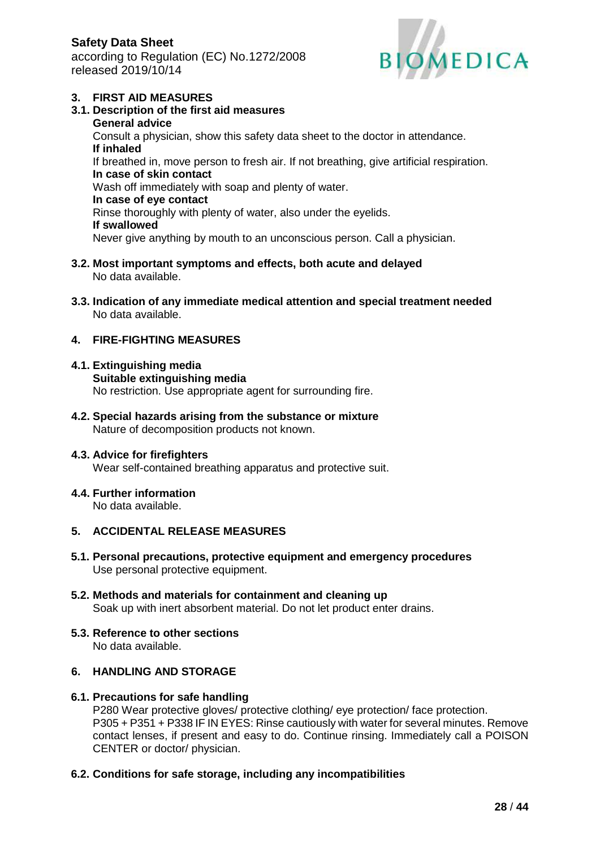according to Regulation (EC) No.1272/2008 released 2019/10/14



### **3. FIRST AID MEASURES**

- **3.1. Description of the first aid measures General advice** Consult a physician, show this safety data sheet to the doctor in attendance. **If inhaled** If breathed in, move person to fresh air. If not breathing, give artificial respiration. **In case of skin contact** Wash off immediately with soap and plenty of water. **In case of eye contact** Rinse thoroughly with plenty of water, also under the eyelids. **If swallowed** Never give anything by mouth to an unconscious person. Call a physician.
- **3.2. Most important symptoms and effects, both acute and delayed** No data available.
- **3.3. Indication of any immediate medical attention and special treatment needed** No data available.

## **4. FIRE-FIGHTING MEASURES**

- **4.1. Extinguishing media Suitable extinguishing media** No restriction. Use appropriate agent for surrounding fire.
- **4.2. Special hazards arising from the substance or mixture** Nature of decomposition products not known.

#### **4.3. Advice for firefighters**

Wear self-contained breathing apparatus and protective suit.

#### **4.4. Further information**

No data available.

#### **5. ACCIDENTAL RELEASE MEASURES**

- **5.1. Personal precautions, protective equipment and emergency procedures** Use personal protective equipment.
- **5.2. Methods and materials for containment and cleaning up** Soak up with inert absorbent material. Do not let product enter drains.
- **5.3. Reference to other sections** No data available.

## **6. HANDLING AND STORAGE**

#### **6.1. Precautions for safe handling**

P280 Wear protective gloves/ protective clothing/ eye protection/ face protection. P305 + P351 + P338 IF IN EYES: Rinse cautiously with water for several minutes. Remove contact lenses, if present and easy to do. Continue rinsing. Immediately call a POISON CENTER or doctor/ physician.

#### **6.2. Conditions for safe storage, including any incompatibilities**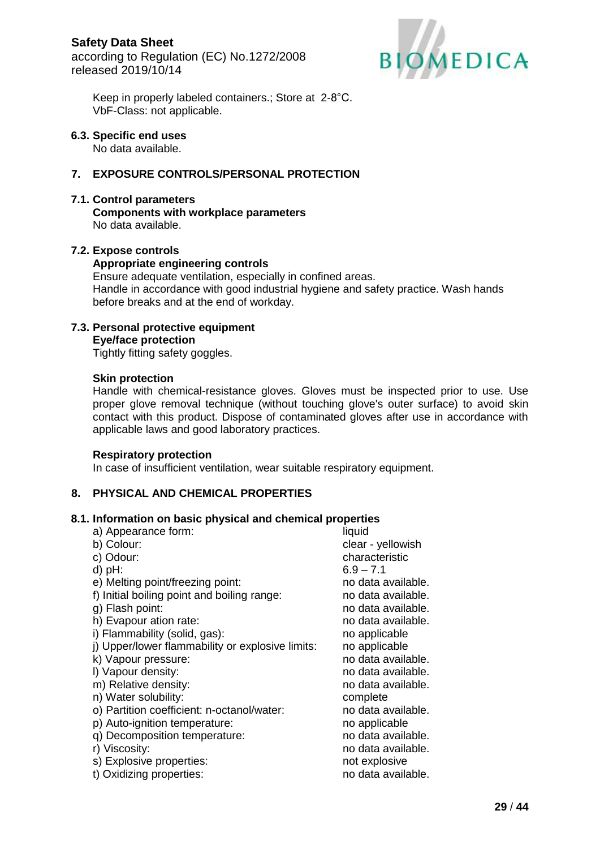

Keep in properly labeled containers.; Store at 2-8°C. VbF-Class: not applicable.

#### **6.3. Specific end uses**

No data available.

## **7. EXPOSURE CONTROLS/PERSONAL PROTECTION**

#### **7.1. Control parameters**

**Components with workplace parameters** No data available.

#### **7.2. Expose controls**

#### **Appropriate engineering controls**

Ensure adequate ventilation, especially in confined areas. Handle in accordance with good industrial hygiene and safety practice. Wash hands before breaks and at the end of workday.

# **7.3. Personal protective equipment**

**Eye/face protection**

Tightly fitting safety goggles.

#### **Skin protection**

Handle with chemical-resistance gloves. Gloves must be inspected prior to use. Use proper glove removal technique (without touching glove's outer surface) to avoid skin contact with this product. Dispose of contaminated gloves after use in accordance with applicable laws and good laboratory practices.

### **Respiratory protection**

In case of insufficient ventilation, wear suitable respiratory equipment.

## **8. PHYSICAL AND CHEMICAL PROPERTIES**

### **8.1. Information on basic physical and chemical properties**

| a) Appearance form:                              | liquid             |
|--------------------------------------------------|--------------------|
| b) Colour:                                       | clear - yellowish  |
| c) Odour:                                        | characteristic     |
| $d$ ) $pH$ :                                     | $6.9 - 7.1$        |
| e) Melting point/freezing point:                 | no data available. |
| f) Initial boiling point and boiling range:      | no data available. |
| g) Flash point:                                  | no data available. |
| h) Evapour ation rate:                           | no data available. |
| i) Flammability (solid, gas):                    | no applicable      |
| j) Upper/lower flammability or explosive limits: | no applicable      |
| k) Vapour pressure:                              | no data available. |
| I) Vapour density:                               | no data available. |
| m) Relative density:                             | no data available. |
| n) Water solubility:                             | complete           |
| o) Partition coefficient: n-octanol/water:       | no data available. |
| p) Auto-ignition temperature:                    | no applicable      |
| q) Decomposition temperature:                    | no data available. |
| r) Viscosity:                                    | no data available. |
| s) Explosive properties:                         | not explosive      |
| t) Oxidizing properties:                         | no data available. |
|                                                  |                    |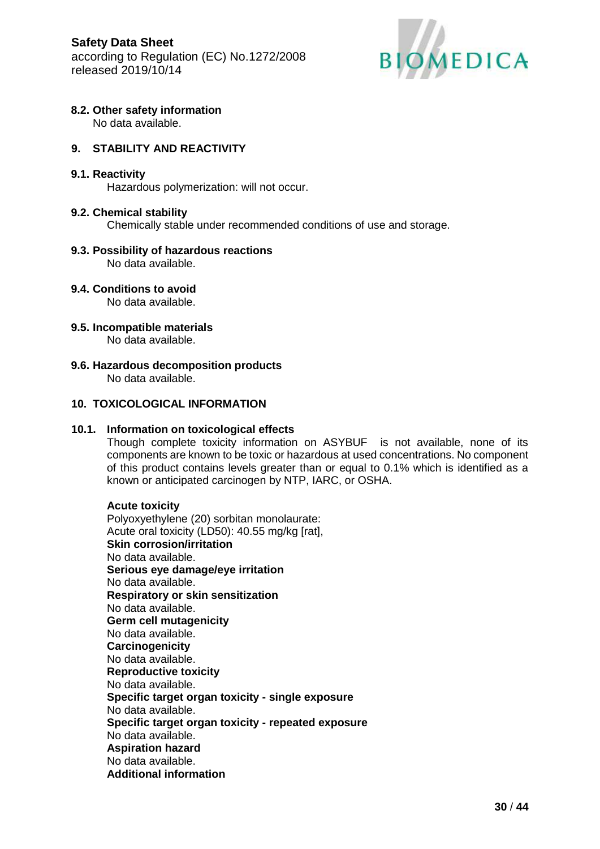

## **8.2. Other safety information**

No data available.

## **9. STABILITY AND REACTIVITY**

#### **9.1. Reactivity**

Hazardous polymerization: will not occur.

#### **9.2. Chemical stability**

Chemically stable under recommended conditions of use and storage.

## **9.3. Possibility of hazardous reactions**

No data available.

## **9.4. Conditions to avoid**

No data available.

**9.5. Incompatible materials**

No data available.

**9.6. Hazardous decomposition products** No data available.

## **10. TOXICOLOGICAL INFORMATION**

#### **10.1. Information on toxicological effects**

Though complete toxicity information on ASYBUF is not available, none of its components are known to be toxic or hazardous at used concentrations. No component of this product contains levels greater than or equal to 0.1% which is identified as a known or anticipated carcinogen by NTP, IARC, or OSHA.

#### **Acute toxicity**

Polyoxyethylene (20) sorbitan monolaurate: Acute oral toxicity (LD50): 40.55 mg/kg [rat], **Skin corrosion/irritation** No data available. **Serious eye damage/eye irritation** No data available. **Respiratory or skin sensitization** No data available. **Germ cell mutagenicity** No data available. **Carcinogenicity** No data available. **Reproductive toxicity** No data available. **Specific target organ toxicity - single exposure** No data available. **Specific target organ toxicity - repeated exposure** No data available. **Aspiration hazard** No data available. **Additional information**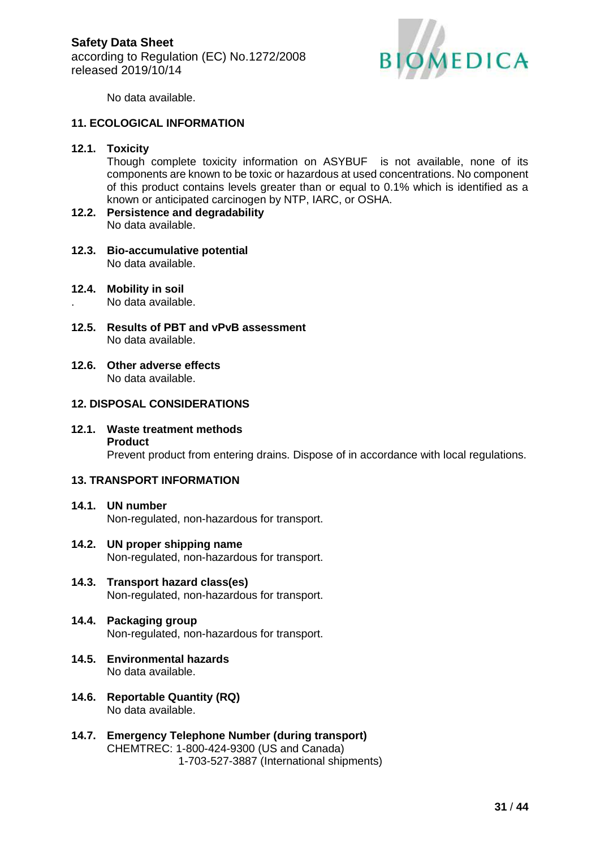

No data available.

### **11. ECOLOGICAL INFORMATION**

#### **12.1. Toxicity**

Though complete toxicity information on ASYBUF is not available, none of its components are known to be toxic or hazardous at used concentrations. No component of this product contains levels greater than or equal to 0.1% which is identified as a known or anticipated carcinogen by NTP, IARC, or OSHA.

- **12.2. Persistence and degradability** No data available.
- **12.3. Bio-accumulative potential** No data available.
- **12.4. Mobility in soil**

. No data available.

- **12.5. Results of PBT and vPvB assessment** No data available.
- **12.6. Other adverse effects** No data available.

## **12. DISPOSAL CONSIDERATIONS**

**12.1. Waste treatment methods Product** Prevent product from entering drains. Dispose of in accordance with local regulations.

## **13. TRANSPORT INFORMATION**

- **14.1. UN number** Non-regulated, non-hazardous for transport.
- **14.2. UN proper shipping name** Non-regulated, non-hazardous for transport.
- **14.3. Transport hazard class(es)** Non-regulated, non-hazardous for transport.
- **14.4. Packaging group** Non-regulated, non-hazardous for transport.
- **14.5. Environmental hazards** No data available.
- **14.6. Reportable Quantity (RQ)** No data available.
- **14.7. Emergency Telephone Number (during transport)** CHEMTREC: 1-800-424-9300 (US and Canada) 1-703-527-3887 (International shipments)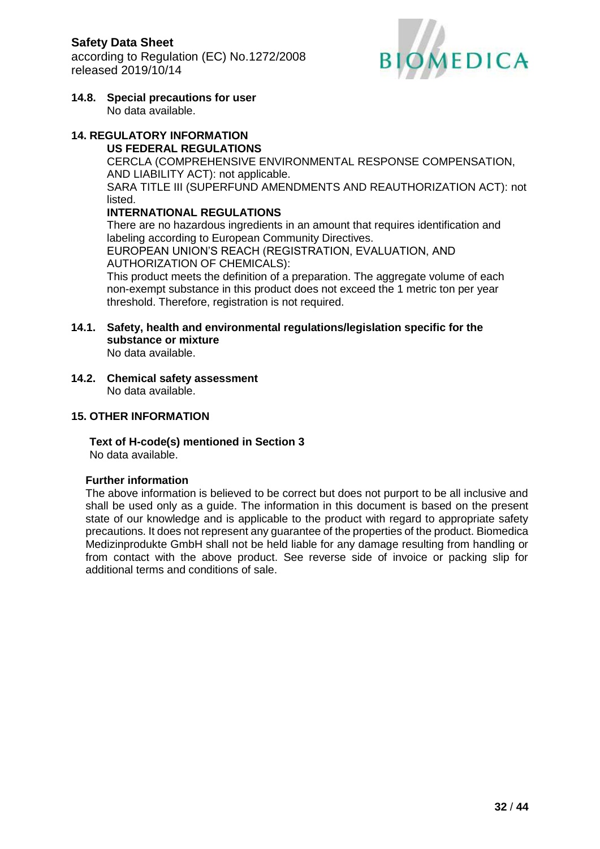

**14.8. Special precautions for user** No data available.

### **14. REGULATORY INFORMATION US FEDERAL REGULATIONS**

CERCLA (COMPREHENSIVE ENVIRONMENTAL RESPONSE COMPENSATION, AND LIABILITY ACT): not applicable. SARA TITLE III (SUPERFUND AMENDMENTS AND REAUTHORIZATION ACT): not listed.

## **INTERNATIONAL REGULATIONS**

There are no hazardous ingredients in an amount that requires identification and labeling according to European Community Directives. EUROPEAN UNION'S REACH (REGISTRATION, EVALUATION, AND AUTHORIZATION OF CHEMICALS):

This product meets the definition of a preparation. The aggregate volume of each non-exempt substance in this product does not exceed the 1 metric ton per year threshold. Therefore, registration is not required.

**14.1. Safety, health and environmental regulations/legislation specific for the substance or mixture** No data available.

**14.2. Chemical safety assessment** No data available.

## **15. OTHER INFORMATION**

**Text of H-code(s) mentioned in Section 3**

No data available.

## **Further information**

The above information is believed to be correct but does not purport to be all inclusive and shall be used only as a guide. The information in this document is based on the present state of our knowledge and is applicable to the product with regard to appropriate safety precautions. It does not represent any guarantee of the properties of the product. Biomedica Medizinprodukte GmbH shall not be held liable for any damage resulting from handling or from contact with the above product. See reverse side of invoice or packing slip for additional terms and conditions of sale.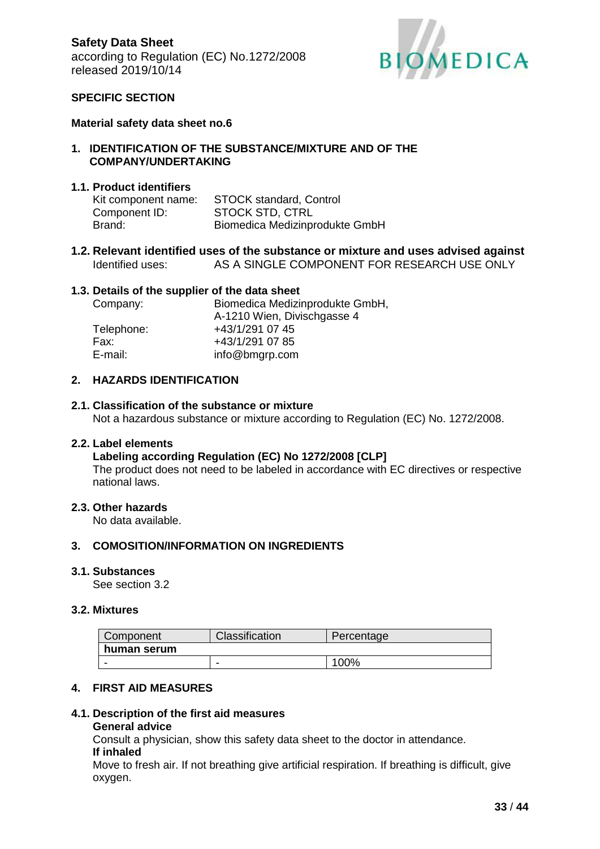

### **SPECIFIC SECTION**

#### **Material safety data sheet no.6**

#### **1. IDENTIFICATION OF THE SUBSTANCE/MIXTURE AND OF THE COMPANY/UNDERTAKING**

#### **1.1. Product identifiers**

| Kit component name: | <b>STOCK standard, Control</b> |
|---------------------|--------------------------------|
| Component ID:       | <b>STOCK STD, CTRL</b>         |
| Brand:              | Biomedica Medizinprodukte GmbH |

**1.2. Relevant identified uses of the substance or mixture and uses advised against** Identified uses: AS A SINGLE COMPONENT FOR RESEARCH USE ONLY

#### **1.3. Details of the supplier of the data sheet**

| Company:   | Biomedica Medizinprodukte GmbH, |  |
|------------|---------------------------------|--|
|            | A-1210 Wien, Divischgasse 4     |  |
| Telephone: | +43/1/291 07 45                 |  |
| Fax:       | +43/1/291 07 85                 |  |
| E-mail:    | info@bmgrp.com                  |  |

#### **2. HAZARDS IDENTIFICATION**

#### **2.1. Classification of the substance or mixture**

Not a hazardous substance or mixture according to Regulation (EC) No. 1272/2008.

#### **2.2. Label elements**

#### **Labeling according Regulation (EC) No 1272/2008 [CLP]**

The product does not need to be labeled in accordance with EC directives or respective national laws.

#### **2.3. Other hazards**

No data available.

#### **3. COMOSITION/INFORMATION ON INGREDIENTS**

#### **3.1. Substances**

See section 3.2

#### **3.2. Mixtures**

| Component   | Classification | Percentage |
|-------------|----------------|------------|
| human serum |                |            |
|             | -              | 100%       |

#### **4. FIRST AID MEASURES**

#### **4.1. Description of the first aid measures**

#### **General advice**

Consult a physician, show this safety data sheet to the doctor in attendance. **If inhaled**

Move to fresh air. If not breathing give artificial respiration. If breathing is difficult, give oxygen.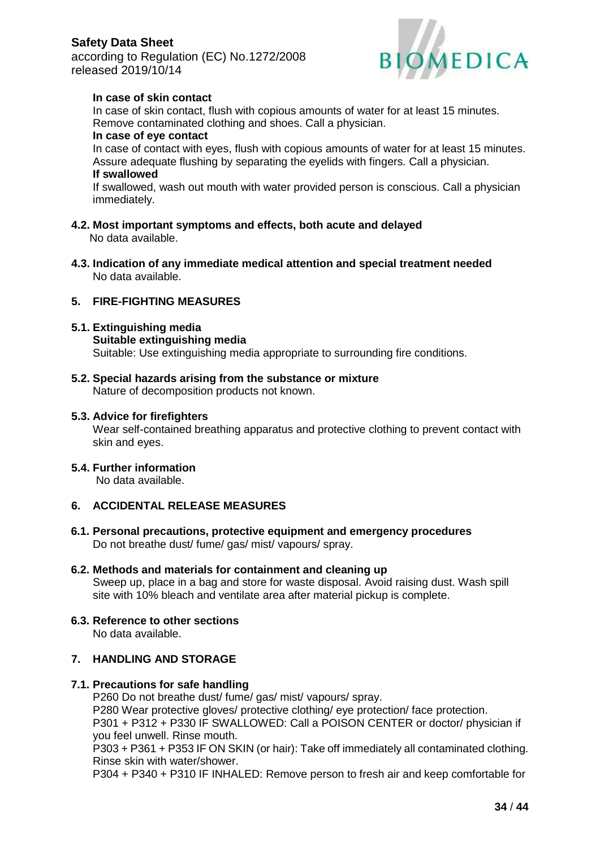according to Regulation (EC) No.1272/2008 released 2019/10/14



## **In case of skin contact**

In case of skin contact, flush with copious amounts of water for at least 15 minutes. Remove contaminated clothing and shoes. Call a physician.

#### **In case of eye contact**

In case of contact with eyes, flush with copious amounts of water for at least 15 minutes. Assure adequate flushing by separating the eyelids with fingers. Call a physician. **If swallowed**

If swallowed, wash out mouth with water provided person is conscious. Call a physician immediately.

- **4.2. Most important symptoms and effects, both acute and delayed** No data available.
- **4.3. Indication of any immediate medical attention and special treatment needed** No data available.

### **5. FIRE-FIGHTING MEASURES**

#### **5.1. Extinguishing media**

- **Suitable extinguishing media** Suitable: Use extinguishing media appropriate to surrounding fire conditions.
- **5.2. Special hazards arising from the substance or mixture** Nature of decomposition products not known.

### **5.3. Advice for firefighters**

Wear self-contained breathing apparatus and protective clothing to prevent contact with skin and eyes.

### **5.4. Further information**

No data available.

## **6. ACCIDENTAL RELEASE MEASURES**

**6.1. Personal precautions, protective equipment and emergency procedures** Do not breathe dust/ fume/ gas/ mist/ vapours/ spray.

### **6.2. Methods and materials for containment and cleaning up**

Sweep up, place in a bag and store for waste disposal. Avoid raising dust. Wash spill site with 10% bleach and ventilate area after material pickup is complete.

#### **6.3. Reference to other sections** No data available.

## **7. HANDLING AND STORAGE**

### **7.1. Precautions for safe handling**

P260 Do not breathe dust/ fume/ gas/ mist/ vapours/ spray. P280 Wear protective gloves/ protective clothing/ eye protection/ face protection. P301 + P312 + P330 IF SWALLOWED: Call a POISON CENTER or doctor/ physician if you feel unwell. Rinse mouth.

P303 + P361 + P353 IF ON SKIN (or hair): Take off immediately all contaminated clothing. Rinse skin with water/shower.

P304 + P340 + P310 IF INHALED: Remove person to fresh air and keep comfortable for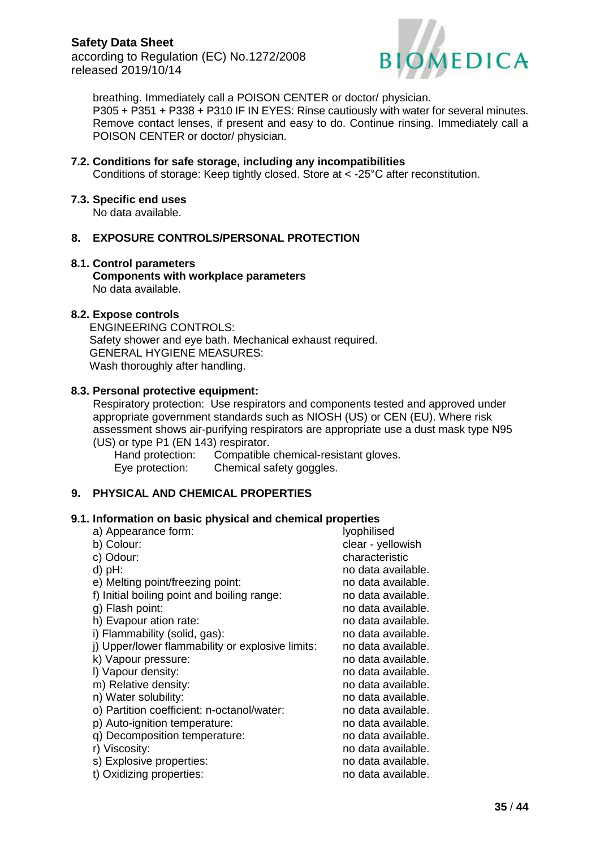

breathing. Immediately call a POISON CENTER or doctor/ physician. P305 + P351 + P338 + P310 IF IN EYES: Rinse cautiously with water for several minutes. Remove contact lenses, if present and easy to do. Continue rinsing. Immediately call a POISON CENTER or doctor/ physician.

#### **7.2. Conditions for safe storage, including any incompatibilities**

Conditions of storage: Keep tightly closed. Store at < -25°C after reconstitution.

#### **7.3. Specific end uses**

No data available.

## **8. EXPOSURE CONTROLS/PERSONAL PROTECTION**

#### **8.1. Control parameters**

**Components with workplace parameters** No data available.

#### **8.2. Expose controls**

ENGINEERING CONTROLS: Safety shower and eye bath. Mechanical exhaust required. GENERAL HYGIENE MEASURES: Wash thoroughly after handling.

#### **8.3. Personal protective equipment:**

 Respiratory protection: Use respirators and components tested and approved under appropriate government standards such as NIOSH (US) or CEN (EU). Where risk assessment shows air-purifying respirators are appropriate use a dust mask type N95 (US) or type P1 (EN 143) respirator.

Hand protection: Compatible chemical-resistant gloves. Eye protection: Chemical safety goggles.

## **9. PHYSICAL AND CHEMICAL PROPERTIES**

#### **9.1. Information on basic physical and chemical properties**

| a) Appearance form:                              | lyophilised        |
|--------------------------------------------------|--------------------|
| b) Colour:                                       | clear - yellowish  |
| c) Odour:                                        | characteristic     |
| $d)$ pH:                                         | no data available. |
| e) Melting point/freezing point:                 | no data available. |
| f) Initial boiling point and boiling range:      | no data available. |
| g) Flash point:                                  | no data available. |
| h) Evapour ation rate:                           | no data available. |
| i) Flammability (solid, gas):                    | no data available. |
| j) Upper/lower flammability or explosive limits: | no data available. |
| k) Vapour pressure:                              | no data available. |
| I) Vapour density:                               | no data available. |
| m) Relative density:                             | no data available. |
| n) Water solubility:                             | no data available. |
| o) Partition coefficient: n-octanol/water:       | no data available. |
| p) Auto-ignition temperature:                    | no data available. |
| q) Decomposition temperature:                    | no data available. |
| r) Viscosity:                                    | no data available. |
| s) Explosive properties:                         | no data available. |
| t) Oxidizing properties:                         | no data available. |
|                                                  |                    |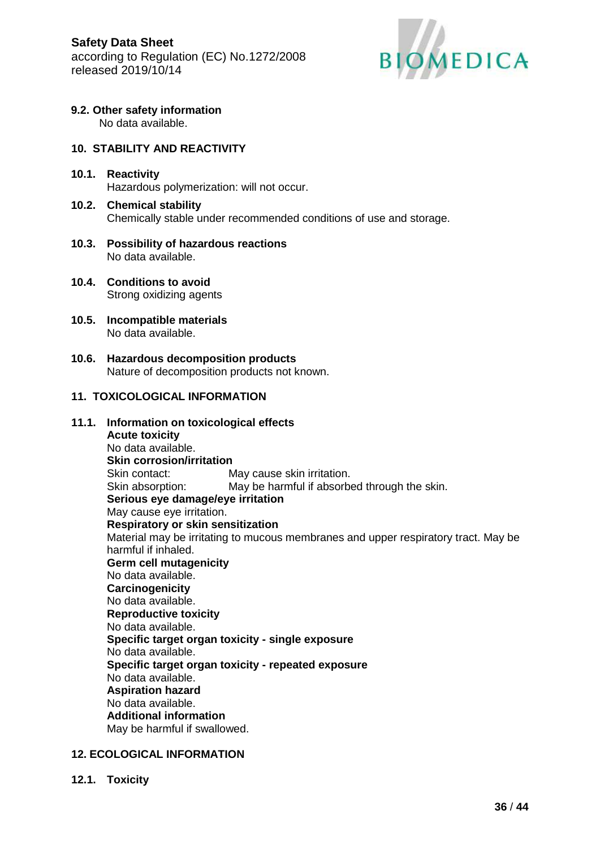

## **9.2. Other safety information**

No data available.

### **10. STABILITY AND REACTIVITY**

- **10.1. Reactivity** Hazardous polymerization: will not occur.
- **10.2. Chemical stability** Chemically stable under recommended conditions of use and storage.
- **10.3. Possibility of hazardous reactions** No data available.
- **10.4. Conditions to avoid** Strong oxidizing agents
- **10.5. Incompatible materials** No data available.
- **10.6. Hazardous decomposition products** Nature of decomposition products not known.

## **11. TOXICOLOGICAL INFORMATION**

#### **11.1. Information on toxicological effects Acute toxicity** No data available. **Skin corrosion/irritation** Skin contact: May cause skin irritation. Skin absorption: May be harmful if absorbed through the skin. **Serious eye damage/eye irritation** May cause eye irritation. **Respiratory or skin sensitization** Material may be irritating to mucous membranes and upper respiratory tract. May be harmful if inhaled. **Germ cell mutagenicity** No data available. **Carcinogenicity** No data available. **Reproductive toxicity** No data available. **Specific target organ toxicity - single exposure** No data available. **Specific target organ toxicity - repeated exposure** No data available. **Aspiration hazard** No data available. **Additional information** May be harmful if swallowed.

### **12. ECOLOGICAL INFORMATION**

**12.1. Toxicity**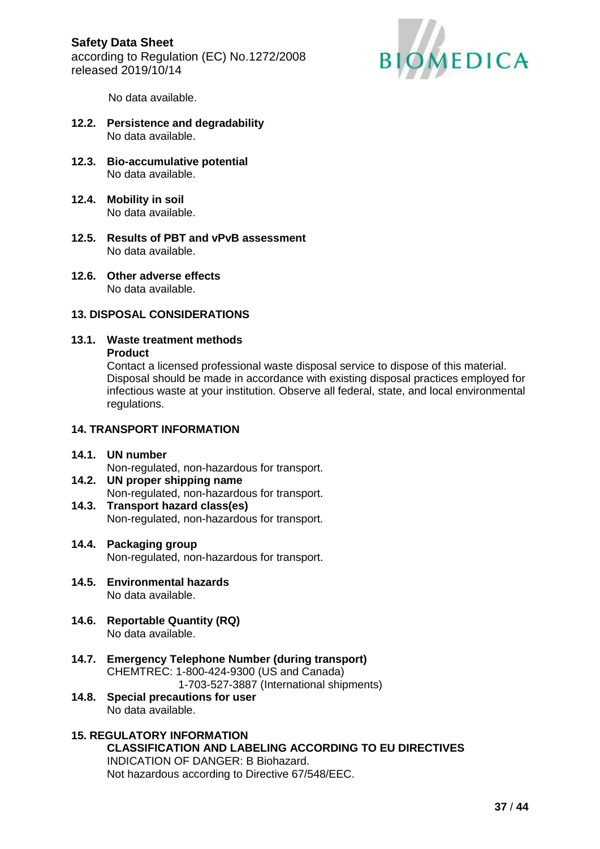

No data available.

- **12.2. Persistence and degradability** No data available.
- **12.3. Bio-accumulative potential** No data available.
- **12.4. Mobility in soil** No data available.
- **12.5. Results of PBT and vPvB assessment** No data available.
- **12.6. Other adverse effects** No data available.

## **13. DISPOSAL CONSIDERATIONS**

## **13.1. Waste treatment methods**

#### **Product**

Contact a licensed professional waste disposal service to dispose of this material. Disposal should be made in accordance with existing disposal practices employed for infectious waste at your institution. Observe all federal, state, and local environmental regulations.

## **14. TRANSPORT INFORMATION**

### **14.1. UN number**

Non-regulated, non-hazardous for transport.

#### **14.2. UN proper shipping name** Non-regulated, non-hazardous for transport.

**14.3. Transport hazard class(es)** Non-regulated, non-hazardous for transport.

### **14.4. Packaging group** Non-regulated, non-hazardous for transport.

- **14.5. Environmental hazards** No data available.
- **14.6. Reportable Quantity (RQ)** No data available.
- **14.7. Emergency Telephone Number (during transport)** CHEMTREC: 1-800-424-9300 (US and Canada) 1-703-527-3887 (International shipments)
- **14.8. Special precautions for user** No data available.

#### **15. REGULATORY INFORMATION CLASSIFICATION AND LABELING ACCORDING TO EU DIRECTIVES**  INDICATION OF DANGER: B Biohazard. Not hazardous according to Directive 67/548/EEC.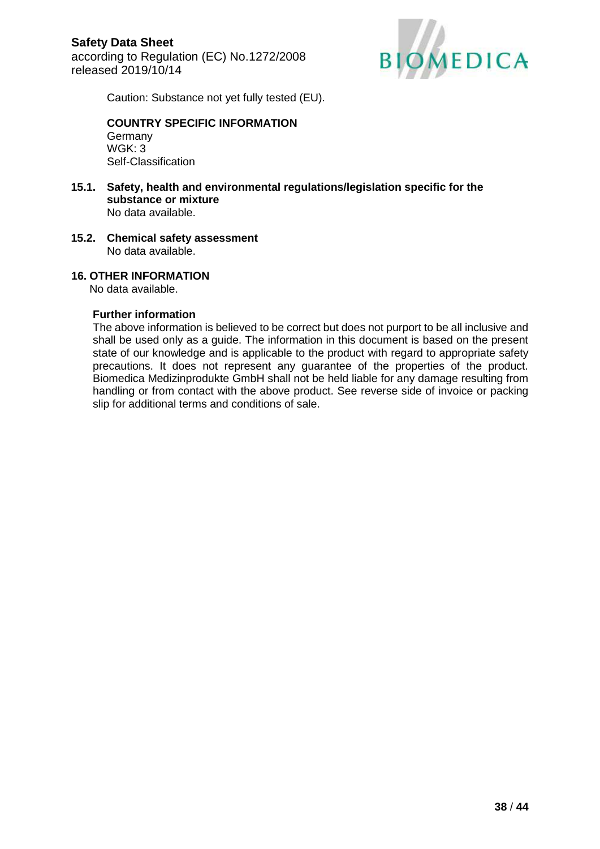

Caution: Substance not yet fully tested (EU).

#### **COUNTRY SPECIFIC INFORMATION**  Germany WGK: 3 Self-Classification

- **15.1. Safety, health and environmental regulations/legislation specific for the substance or mixture** No data available.
- **15.2. Chemical safety assessment** No data available.

### **16. OTHER INFORMATION**

No data available.

#### **Further information**

The above information is believed to be correct but does not purport to be all inclusive and shall be used only as a guide. The information in this document is based on the present state of our knowledge and is applicable to the product with regard to appropriate safety precautions. It does not represent any guarantee of the properties of the product. Biomedica Medizinprodukte GmbH shall not be held liable for any damage resulting from handling or from contact with the above product. See reverse side of invoice or packing slip for additional terms and conditions of sale.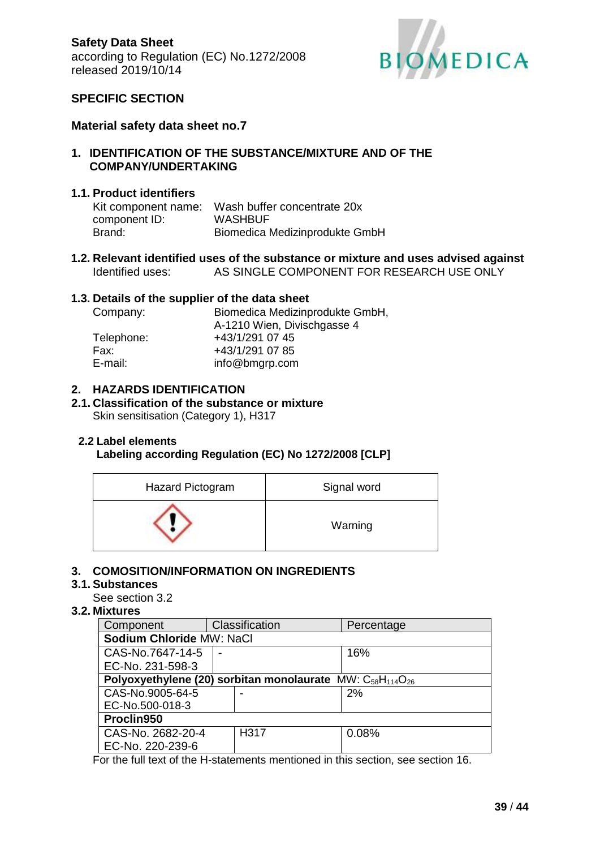

## **SPECIFIC SECTION**

## **Material safety data sheet no.7**

**1. IDENTIFICATION OF THE SUBSTANCE/MIXTURE AND OF THE COMPANY/UNDERTAKING**

## **1.1. Product identifiers**

|               | Kit component name: Wash buffer concentrate 20x |
|---------------|-------------------------------------------------|
| component ID: | <b>WASHBUF</b>                                  |
| Brand:        | Biomedica Medizinprodukte GmbH                  |

**1.2. Relevant identified uses of the substance or mixture and uses advised against** Identified uses: AS SINGLE COMPONENT FOR RESEARCH USE ONLY

## **1.3. Details of the supplier of the data sheet**

| Company:   | Biomedica Medizinprodukte GmbH, |  |
|------------|---------------------------------|--|
|            | A-1210 Wien, Divischgasse 4     |  |
| Telephone: | +43/1/291 07 45                 |  |
| Fax:       | +43/1/291 07 85                 |  |
| E-mail:    | info@bmgrp.com                  |  |

## **2. HAZARDS IDENTIFICATION**

#### **2.1. Classification of the substance or mixture** Skin sensitisation (Category 1), H317

### **2.2 Label elements**

### **Labeling according Regulation (EC) No 1272/2008 [CLP]**

| Hazard Pictogram | Signal word |
|------------------|-------------|
|                  | Warning     |

## **3. COMOSITION/INFORMATION ON INGREDIENTS**

## **3.1. Substances**

See section 3.2

## **3.2. Mixtures**

| Component                                                           | Classification |      | Percentage |  |  |  |
|---------------------------------------------------------------------|----------------|------|------------|--|--|--|
| Sodium Chloride MW: NaCl                                            |                |      |            |  |  |  |
| CAS-No.7647-14-5                                                    |                |      | 16%        |  |  |  |
| EC-No. 231-598-3                                                    |                |      |            |  |  |  |
| Polyoxyethylene (20) sorbitan monolaurate $MW: C_{58}H_{114}O_{26}$ |                |      |            |  |  |  |
| CAS-No.9005-64-5                                                    |                |      | 2%         |  |  |  |
| EC-No.500-018-3                                                     |                |      |            |  |  |  |
| Proclin950                                                          |                |      |            |  |  |  |
| CAS-No. 2682-20-4                                                   |                | H317 | 0.08%      |  |  |  |
| EC-No. 220-239-6                                                    |                |      |            |  |  |  |

For the full text of the H-statements mentioned in this section, see section 16.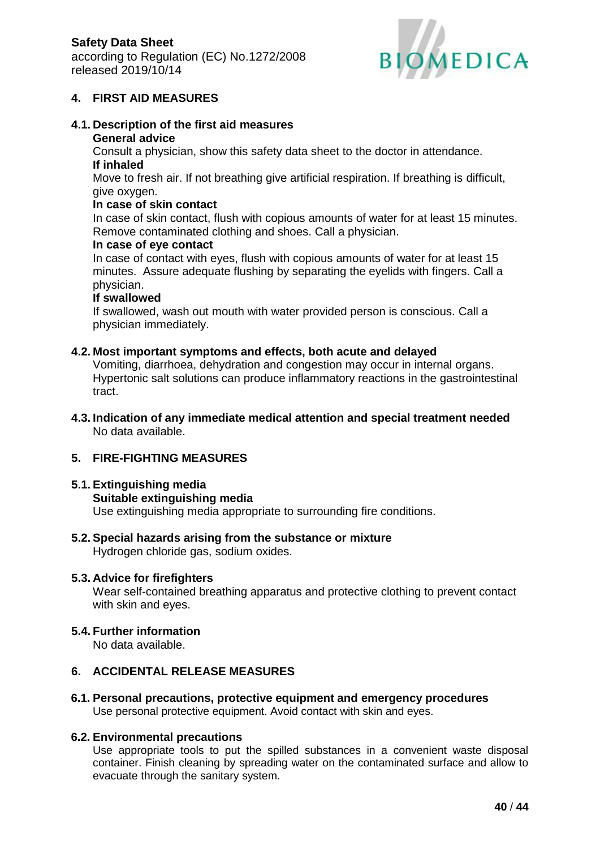

## **4. FIRST AID MEASURES**

# **4.1. Description of the first aid measures**

# **General advice**

Consult a physician, show this safety data sheet to the doctor in attendance. **If inhaled**

Move to fresh air. If not breathing give artificial respiration. If breathing is difficult, give oxygen.

### **In case of skin contact**

In case of skin contact, flush with copious amounts of water for at least 15 minutes. Remove contaminated clothing and shoes. Call a physician.

### **In case of eye contact**

In case of contact with eyes, flush with copious amounts of water for at least 15 minutes. Assure adequate flushing by separating the eyelids with fingers. Call a physician.

### **If swallowed**

If swallowed, wash out mouth with water provided person is conscious. Call a physician immediately.

### **4.2. Most important symptoms and effects, both acute and delayed**

Vomiting, diarrhoea, dehydration and congestion may occur in internal organs. Hypertonic salt solutions can produce inflammatory reactions in the gastrointestinal tract.

**4.3. Indication of any immediate medical attention and special treatment needed** No data available.

## **5. FIRE-FIGHTING MEASURES**

## **5.1. Extinguishing media**

### **Suitable extinguishing media**

Use extinguishing media appropriate to surrounding fire conditions.

**5.2. Special hazards arising from the substance or mixture** Hydrogen chloride gas, sodium oxides.

### **5.3. Advice for firefighters**

Wear self-contained breathing apparatus and protective clothing to prevent contact with skin and eyes.

# **5.4. Further information**

No data available.

## **6. ACCIDENTAL RELEASE MEASURES**

**6.1. Personal precautions, protective equipment and emergency procedures** Use personal protective equipment. Avoid contact with skin and eyes.

## **6.2. Environmental precautions**

Use appropriate tools to put the spilled substances in a convenient waste disposal container. Finish cleaning by spreading water on the contaminated surface and allow to evacuate through the sanitary system.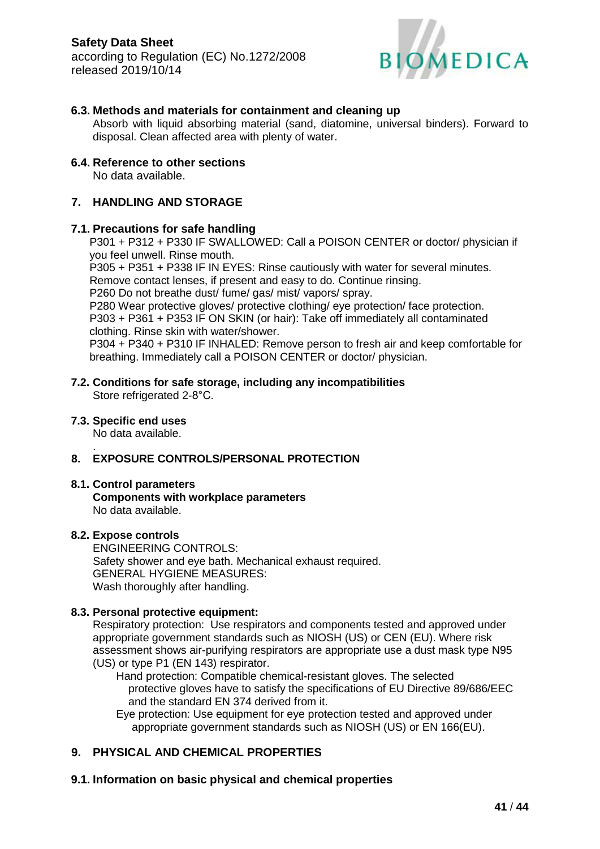

## **6.3. Methods and materials for containment and cleaning up**

Absorb with liquid absorbing material (sand, diatomine, universal binders). Forward to disposal. Clean affected area with plenty of water.

#### **6.4. Reference to other sections**

No data available.

## **7. HANDLING AND STORAGE**

#### **7.1. Precautions for safe handling**

P301 + P312 + P330 IF SWALLOWED: Call a POISON CENTER or doctor/ physician if you feel unwell. Rinse mouth.

P305 + P351 + P338 IF IN EYES: Rinse cautiously with water for several minutes. Remove contact lenses, if present and easy to do. Continue rinsing.

P260 Do not breathe dust/ fume/ gas/ mist/ vapors/ spray.

P280 Wear protective gloves/ protective clothing/ eye protection/ face protection. P303 + P361 + P353 IF ON SKIN (or hair): Take off immediately all contaminated

clothing. Rinse skin with water/shower.

P304 + P340 + P310 IF INHALED: Remove person to fresh air and keep comfortable for breathing. Immediately call a POISON CENTER or doctor/ physician.

## **7.2. Conditions for safe storage, including any incompatibilities**

Store refrigerated 2-8°C.

#### **7.3. Specific end uses**

No data available.

#### . **8. EXPOSURE CONTROLS/PERSONAL PROTECTION**

#### **8.1. Control parameters**

**Components with workplace parameters** No data available.

#### **8.2. Expose controls**

ENGINEERING CONTROLS: Safety shower and eye bath. Mechanical exhaust required. GENERAL HYGIENE MEASURES: Wash thoroughly after handling.

#### **8.3. Personal protective equipment:**

Respiratory protection: Use respirators and components tested and approved under appropriate government standards such as NIOSH (US) or CEN (EU). Where risk assessment shows air-purifying respirators are appropriate use a dust mask type N95 (US) or type P1 (EN 143) respirator.

 Hand protection: Compatible chemical-resistant gloves. The selected protective gloves have to satisfy the specifications of EU Directive 89/686/EEC and the standard EN 374 derived from it.

 Eye protection: Use equipment for eye protection tested and approved under appropriate government standards such as NIOSH (US) or EN 166(EU).

### **9. PHYSICAL AND CHEMICAL PROPERTIES**

## **9.1. Information on basic physical and chemical properties**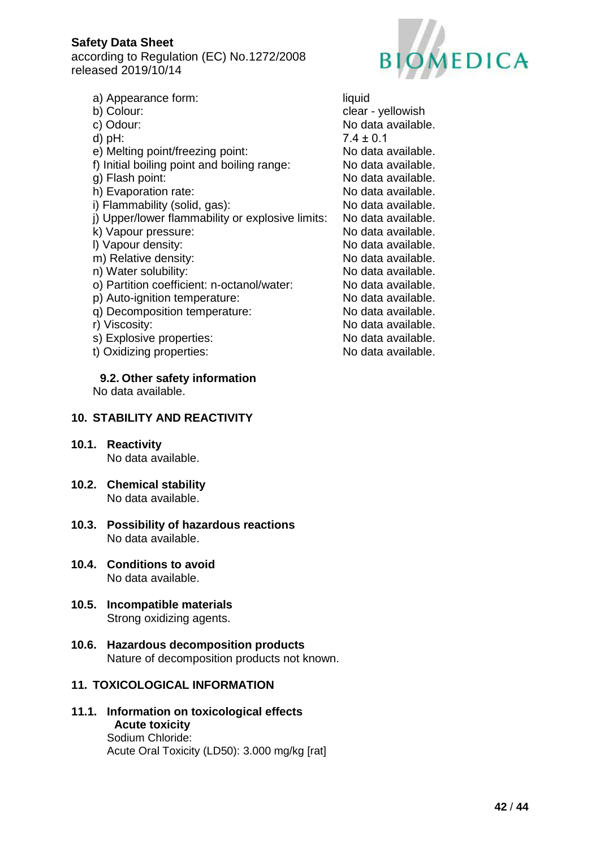according to Regulation (EC) No.1272/2008 released 2019/10/14



- a) Appearance form: liquid
- 
- 
- 
- e) Melting point/freezing point: No data available.
- f) Initial boiling point and boiling range: No data available.
- 
- 
- i) Flammability (solid, gas): No data available.
- j) Upper/lower flammability or explosive limits: No data available.
- k) Vapour pressure: No data available.
- 
- m) Relative density: No data available.
- 
- o) Partition coefficient: n-octanol/water: No data available.
- p) Auto-ignition temperature: No data available.
- q) Decomposition temperature: No data available.
- 
- s) Explosive properties: No data available.
- t) Oxidizing properties: No data available.

**9.2. Other safety information**

No data available.

## **10. STABILITY AND REACTIVITY**

- **10.1. Reactivity** No data available.
- **10.2. Chemical stability** No data available.
- **10.3. Possibility of hazardous reactions** No data available.
- **10.4. Conditions to avoid** No data available.
- **10.5. Incompatible materials** Strong oxidizing agents.
- **10.6. Hazardous decomposition products** Nature of decomposition products not known.

## **11. TOXICOLOGICAL INFORMATION**

**11.1. Information on toxicological effects Acute toxicity** Sodium Chloride: Acute Oral Toxicity (LD50): 3.000 mg/kg [rat]

b) Colour: clear - yellowish c) Odour: No data available. d) pH:  $7.4 \pm 0.1$ g) Flash point:  $\blacksquare$  No data available. h) Evaporation rate: No data available. I) Vapour density: No data available. n) Water solubility: No data available. r) Viscosity:  $\blacksquare$  Viscosity:  $\blacksquare$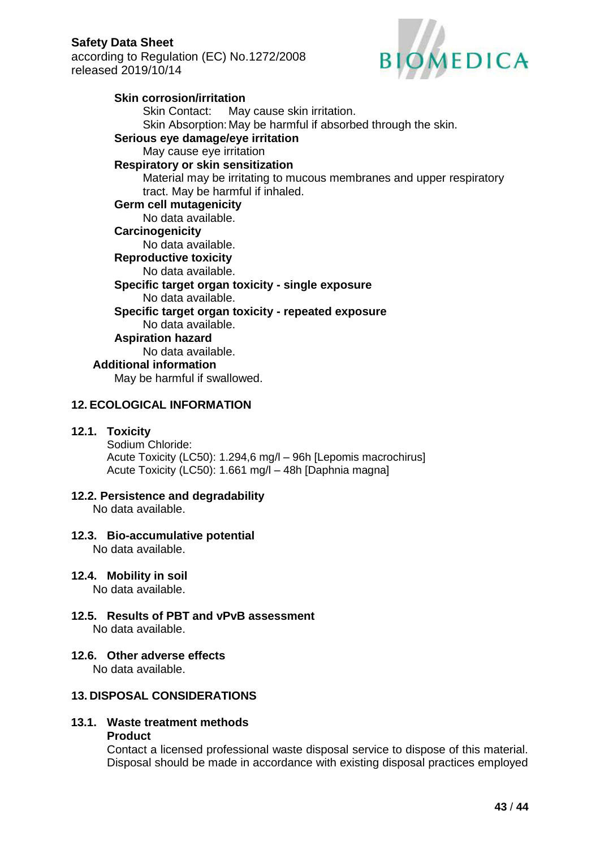according to Regulation (EC) No.1272/2008 released 2019/10/14



### **Skin corrosion/irritation** Skin Contact: May cause skin irritation. Skin Absorption: May be harmful if absorbed through the skin. **Serious eye damage/eye irritation** May cause eye irritation **Respiratory or skin sensitization** Material may be irritating to mucous membranes and upper respiratory tract. May be harmful if inhaled. **Germ cell mutagenicity** No data available. **Carcinogenicity** No data available. **Reproductive toxicity** No data available. **Specific target organ toxicity - single exposure** No data available. **Specific target organ toxicity - repeated exposure** No data available. **Aspiration hazard** No data available. **Additional information** May be harmful if swallowed.

## **12. ECOLOGICAL INFORMATION**

## **12.1. Toxicity**

Sodium Chloride: Acute Toxicity (LC50): 1.294,6 mg/l – 96h [Lepomis macrochirus] Acute Toxicity (LC50): 1.661 mg/l – 48h [Daphnia magna]

### **12.2. Persistence and degradability**

No data available.

## **12.3. Bio-accumulative potential**

No data available.

### **12.4. Mobility in soil**

No data available.

- **12.5. Results of PBT and vPvB assessment** No data available.
- **12.6. Other adverse effects**

No data available.

## **13. DISPOSAL CONSIDERATIONS**

**13.1. Waste treatment methods Product**

> Contact a licensed professional waste disposal service to dispose of this material. Disposal should be made in accordance with existing disposal practices employed